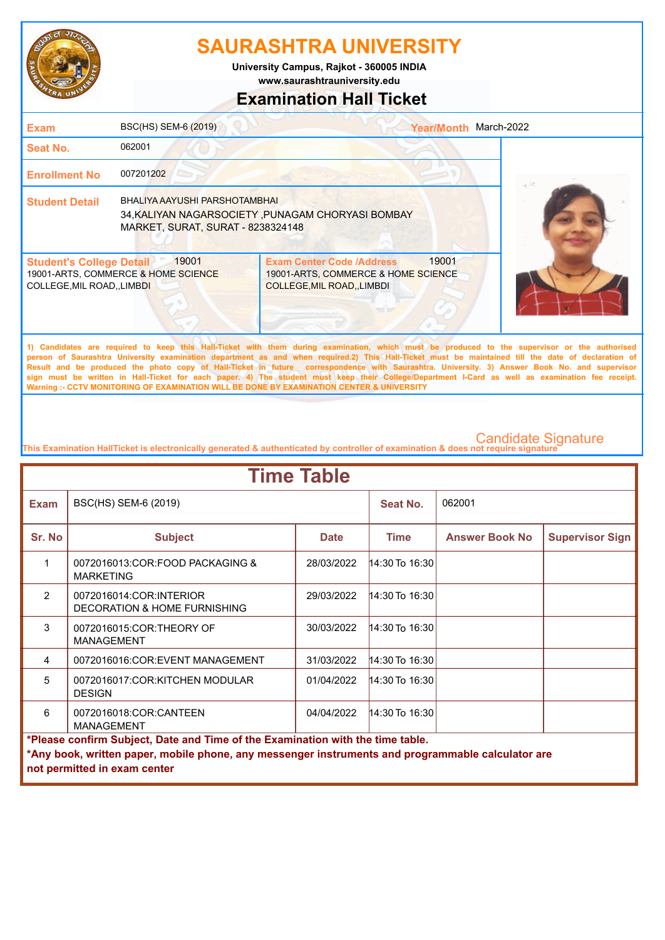

**www.saurashtrauniversity.edu University Campus, Rajkot - 360005 INDIA**

## **Examination Hall Ticket**

| <b>Exam</b>                                                    | BSC(HS) SEM-6 (2019)                                                                                                    |                                                                                                                                              | March-2022<br><b>Year/Month</b> |  |
|----------------------------------------------------------------|-------------------------------------------------------------------------------------------------------------------------|----------------------------------------------------------------------------------------------------------------------------------------------|---------------------------------|--|
| Seat No.                                                       | 062001                                                                                                                  |                                                                                                                                              |                                 |  |
| <b>Enrollment No</b>                                           | 007201202                                                                                                               |                                                                                                                                              |                                 |  |
| <b>Student Detail</b>                                          | BHALIYA AAYUSHI PARSHOTAMBHAI<br>34, KALIYAN NAGARSOCIETY, PUNAGAM CHORYASI BOMBAY<br>MARKET, SURAT, SURAT - 8238324148 |                                                                                                                                              |                                 |  |
| <b>Student's College Detail</b><br>COLLEGE, MIL ROAD, , LIMBDI | 19001<br>19001-ARTS, COMMERCE & HOME SCIENCE                                                                            | <b>Exam Center Code /Address</b><br>19001-ARTS, COMMERCE & HOME SCIENCE<br><b>COLLEGE, MIL ROAD, LIMBDI</b>                                  | 19001                           |  |
|                                                                |                                                                                                                         | 1) Candidates are required to keep this Hall-Ticket with them during examination, which must be produced to the supervisor or the authorised |                                 |  |

**person of Saurashtra University examination department as and when required.2) This Hall-Ticket must be maintained till the date of declaration of Result and be produced the photo copy of Hall-Ticket in future correspondence with Saurashtra. University. 3) Answer Book No. and supervisor sign must be written in Hall-Ticket for each paper. 4) The student must keep their College/Department I-Card as well as examination fee receipt. Warning :- CCTV MONITORING OF EXAMINATION WILL BE DONE BY EXAMINATION CENTER & UNIVERSITY**

| <b>Time Table</b>                                                              |                                                                                                                                   |             |                       |                       |                        |  |
|--------------------------------------------------------------------------------|-----------------------------------------------------------------------------------------------------------------------------------|-------------|-----------------------|-----------------------|------------------------|--|
| <b>Exam</b>                                                                    | BSC(HS) SEM-6 (2019)                                                                                                              |             | Seat No.              | 062001                |                        |  |
| Sr. No                                                                         | <b>Subject</b>                                                                                                                    | <b>Date</b> | <b>Time</b>           | <b>Answer Book No</b> | <b>Supervisor Sign</b> |  |
| 1                                                                              | 0072016013:COR:FOOD PACKAGING &<br><b>MARKETING</b>                                                                               | 28/03/2022  | 14:30 To 16:30        |                       |                        |  |
| $\mathcal{P}$                                                                  | 0072016014:COR:INTERIOR<br><b>DECORATION &amp; HOME FURNISHING</b>                                                                | 29/03/2022  | 14:30 To 16:30        |                       |                        |  |
| 3                                                                              | 0072016015:COR:THEORY OF<br><b>MANAGEMENT</b>                                                                                     | 30/03/2022  | 14:30 To 16:30        |                       |                        |  |
| 4                                                                              | 0072016016:COR:EVENT MANAGEMENT                                                                                                   | 31/03/2022  | $ 14:30$ To $ 16:30 $ |                       |                        |  |
| 5                                                                              | 0072016017:COR:KITCHEN MODULAR<br><b>DESIGN</b>                                                                                   | 01/04/2022  | $14:30$ To 16:30      |                       |                        |  |
| 6                                                                              | 0072016018:COR:CANTEEN<br><b>MANAGEMENT</b>                                                                                       | 04/04/2022  | 14:30 To 16:30        |                       |                        |  |
| *Please confirm Subject, Date and Time of the Examination with the time table. |                                                                                                                                   |             |                       |                       |                        |  |
|                                                                                | *Any book, written paper, mobile phone, any messenger instruments and programmable calculator are<br>not permitted in exam center |             |                       |                       |                        |  |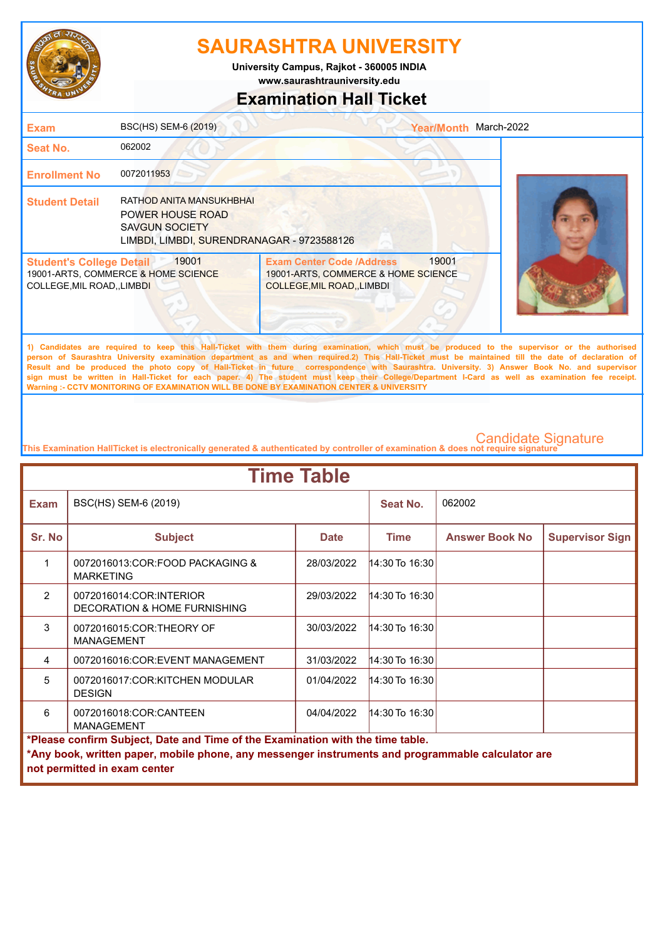

**www.saurashtrauniversity.edu University Campus, Rajkot - 360005 INDIA**

## **Examination Hall Ticket**

| <b>Exam</b>                                                    | BSC(HS) SEM-6 (2019)                                                                                                |                                                                                                                                                                                                                                                                                                    | Year/Month March-2022 |  |
|----------------------------------------------------------------|---------------------------------------------------------------------------------------------------------------------|----------------------------------------------------------------------------------------------------------------------------------------------------------------------------------------------------------------------------------------------------------------------------------------------------|-----------------------|--|
| Seat No.                                                       | 062002                                                                                                              |                                                                                                                                                                                                                                                                                                    |                       |  |
| <b>Enrollment No</b>                                           | 0072011953                                                                                                          |                                                                                                                                                                                                                                                                                                    |                       |  |
| <b>Student Detail</b>                                          | RATHOD ANITA MANSUKHBHAI<br>POWER HOUSE ROAD<br><b>SAVGUN SOCIETY</b><br>LIMBDI, LIMBDI, SURENDRANAGAR - 9723588126 |                                                                                                                                                                                                                                                                                                    |                       |  |
| <b>Student's College Detail</b><br>COLLEGE, MIL ROAD, , LIMBDI | 19001<br>19001-ARTS, COMMERCE & HOME SCIENCE                                                                        | <b>Exam Center Code /Address</b><br>19001-ARTS, COMMERCE & HOME SCIENCE<br>COLLEGE, MIL ROAD, LIMBDI                                                                                                                                                                                               | 19001                 |  |
|                                                                | the contract of the contract of the contract of the contract of the contract of the contract of the contract of     | 1) Candidates are required to keep this Hall-Ticket with them during examination, which must be produced to the supervisor or the authorised<br>person of Saurashtra University examination department as and when required.2) This Hall-Ticket must be maintained till the date of declaration of |                       |  |

**Result and be produced the photo copy of Hall-Ticket in future correspondence with Saurashtra. University. 3) Answer Book No. and supervisor sign must be written in Hall-Ticket for each paper. 4) The student must keep their College/Department I-Card as well as examination fee receipt. Warning :- CCTV MONITORING OF EXAMINATION WILL BE DONE BY EXAMINATION CENTER & UNIVERSITY**

| <b>Time Table</b>                                                                                                                                                                                                   |                                                                    |             |                       |                       |                        |  |
|---------------------------------------------------------------------------------------------------------------------------------------------------------------------------------------------------------------------|--------------------------------------------------------------------|-------------|-----------------------|-----------------------|------------------------|--|
| <b>Exam</b>                                                                                                                                                                                                         | BSC(HS) SEM-6 (2019)                                               |             | Seat No.              | 062002                |                        |  |
| Sr. No                                                                                                                                                                                                              | <b>Subject</b>                                                     | <b>Date</b> | <b>Time</b>           | <b>Answer Book No</b> | <b>Supervisor Sign</b> |  |
| 1                                                                                                                                                                                                                   | 0072016013:COR:FOOD PACKAGING &<br><b>MARKETING</b>                | 28/03/2022  | $14:30$ To $16:30$    |                       |                        |  |
| $\mathcal{P}$                                                                                                                                                                                                       | 0072016014:COR:INTERIOR<br><b>DECORATION &amp; HOME FURNISHING</b> | 29/03/2022  | $14:30$ To $16:30$    |                       |                        |  |
| 3                                                                                                                                                                                                                   | 0072016015:COR:THEORY OF<br><b>MANAGEMENT</b>                      | 30/03/2022  | 14:30 To 16:30        |                       |                        |  |
| 4                                                                                                                                                                                                                   | 0072016016:COR:EVENT MANAGEMENT                                    | 31/03/2022  | $ 14:30$ To $ 16:30 $ |                       |                        |  |
| 5                                                                                                                                                                                                                   | 0072016017:COR:KITCHEN MODULAR<br><b>DESIGN</b>                    | 01/04/2022  | 14:30 To 16:30        |                       |                        |  |
| 6                                                                                                                                                                                                                   | 0072016018:COR:CANTEEN<br><b>MANAGEMENT</b>                        | 04/04/2022  | 14:30 To 16:30        |                       |                        |  |
| *Please confirm Subject, Date and Time of the Examination with the time table.<br>*Any book, written paper, mobile phone, any messenger instruments and programmable calculator are<br>not permitted in exam center |                                                                    |             |                       |                       |                        |  |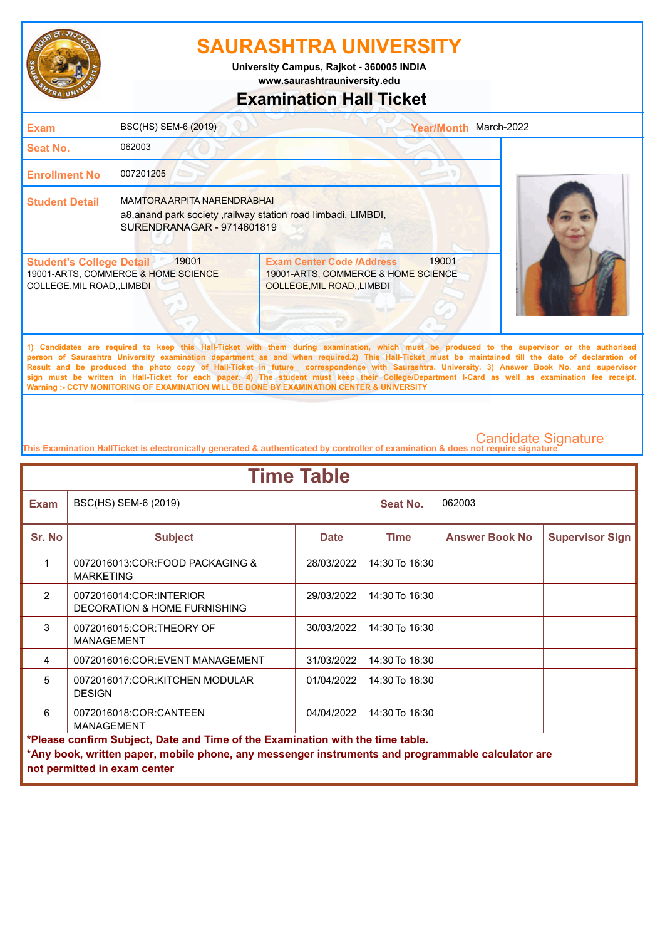

**www.saurashtrauniversity.edu University Campus, Rajkot - 360005 INDIA**

## **Examination Hall Ticket**

| Exam                                                                | BSC(HS) SEM-6 (2019)                                                                                                              |                                                                                                        | <b>Year/Month</b> | March-2022                                                                                                                                                                                                                                                                                             |
|---------------------------------------------------------------------|-----------------------------------------------------------------------------------------------------------------------------------|--------------------------------------------------------------------------------------------------------|-------------------|--------------------------------------------------------------------------------------------------------------------------------------------------------------------------------------------------------------------------------------------------------------------------------------------------------|
| <b>Seat No.</b>                                                     | 062003                                                                                                                            |                                                                                                        |                   |                                                                                                                                                                                                                                                                                                        |
| <b>Enrollment No</b>                                                | 007201205                                                                                                                         |                                                                                                        |                   |                                                                                                                                                                                                                                                                                                        |
| <b>Student Detail</b>                                               | <b>MAMTORA ARPITA NARENDRABHAI</b><br>a8, anand park society, railway station road limbadi, LIMBDI,<br>SURENDRANAGAR - 9714601819 |                                                                                                        |                   |                                                                                                                                                                                                                                                                                                        |
| <b>Student's College Detail</b><br><b>COLLEGE, MIL ROAD, LIMBDI</b> | 19001<br>19001-ARTS, COMMERCE & HOME SCIENCE                                                                                      | <b>Exam Center Code /Address</b><br>19001-ARTS, COMMERCE & HOME SCIENCE<br>COLLEGE, MIL ROAD, , LIMBDI | 19001             |                                                                                                                                                                                                                                                                                                        |
|                                                                     |                                                                                                                                   |                                                                                                        |                   | 1) Candidates are required to keep this Hall-Ticket with them during examination, which must be produced to the supervisor or the authorised<br>nances of Connecting Hotmandian accordinging department on and urbers required O). This Hall Tighet maint he maintained 411 the data of deployation of |

**person of Saurashtra University examination department as and when required.2) This Hall-Ticket must be maintained till the date of declaration of Result and be produced the photo copy of Hall-Ticket in future correspondence with Saurashtra. University. 3) Answer Book No. and supervisor sign must be written in Hall-Ticket for each paper. 4) The student must keep their College/Department I-Card as well as examination fee receipt. Warning :- CCTV MONITORING OF EXAMINATION WILL BE DONE BY EXAMINATION CENTER & UNIVERSITY**

| <b>Time Table</b>                                                                                                                                                                                                   |                                                                    |             |                    |                       |                        |  |
|---------------------------------------------------------------------------------------------------------------------------------------------------------------------------------------------------------------------|--------------------------------------------------------------------|-------------|--------------------|-----------------------|------------------------|--|
| <b>Exam</b>                                                                                                                                                                                                         | BSC(HS) SEM-6 (2019)                                               |             | Seat No.           | 062003                |                        |  |
| Sr. No                                                                                                                                                                                                              | <b>Subject</b>                                                     | <b>Date</b> | <b>Time</b>        | <b>Answer Book No</b> | <b>Supervisor Sign</b> |  |
| 1                                                                                                                                                                                                                   | 0072016013:COR:FOOD PACKAGING &<br><b>MARKETING</b>                | 28/03/2022  | 14:30 To 16:30     |                       |                        |  |
| $\mathcal{P}$                                                                                                                                                                                                       | 0072016014:COR:INTERIOR<br><b>DECORATION &amp; HOME FURNISHING</b> | 29/03/2022  | 14:30 To 16:30     |                       |                        |  |
| 3                                                                                                                                                                                                                   | 0072016015:COR:THEORY OF<br><b>MANAGEMENT</b>                      | 30/03/2022  | $14:30$ To $16:30$ |                       |                        |  |
| 4                                                                                                                                                                                                                   | 0072016016:COR:EVENT MANAGEMENT                                    | 31/03/2022  | 14:30 To 16:30     |                       |                        |  |
| 5                                                                                                                                                                                                                   | 0072016017:COR:KITCHEN MODULAR<br><b>DESIGN</b>                    | 01/04/2022  | $14:30$ To 16:30   |                       |                        |  |
| 6                                                                                                                                                                                                                   | 0072016018:COR:CANTEEN<br><b>MANAGEMENT</b>                        | 04/04/2022  | 14:30 To 16:30     |                       |                        |  |
| *Please confirm Subject, Date and Time of the Examination with the time table.<br>*Any book, written paper, mobile phone, any messenger instruments and programmable calculator are<br>not permitted in exam center |                                                                    |             |                    |                       |                        |  |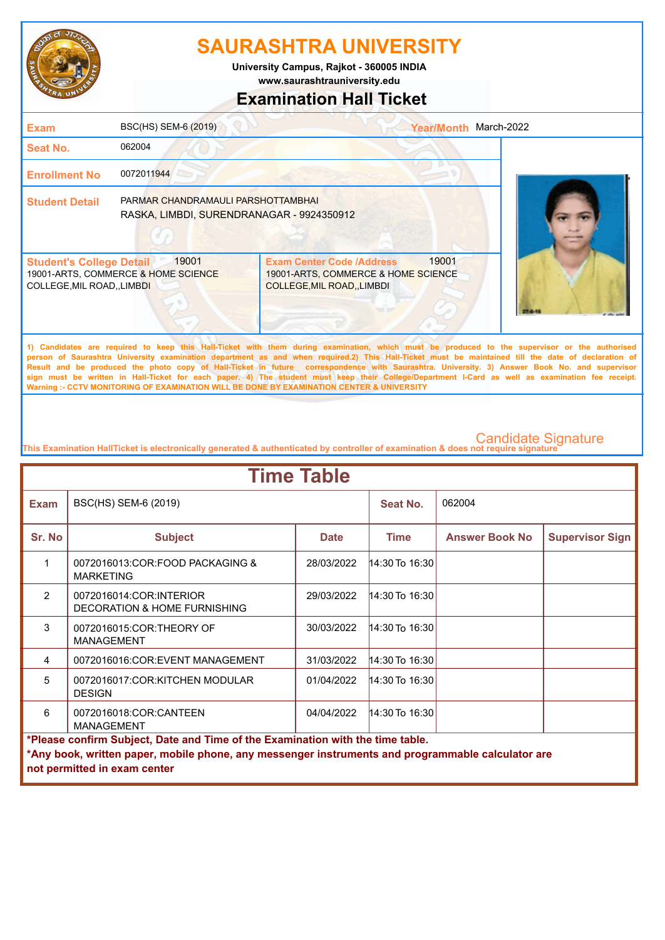

**University Campus, Rajkot - 360005 INDIA**

**www.saurashtrauniversity.edu**

## **Examination Hall Ticket**

| <b>Exam</b>                                                  | BSC(HS) SEM-6 (2019)                                                            |                                                                                                      | Year/Month March-2022 |                                                                                                                                                                                                                                                                                                   |
|--------------------------------------------------------------|---------------------------------------------------------------------------------|------------------------------------------------------------------------------------------------------|-----------------------|---------------------------------------------------------------------------------------------------------------------------------------------------------------------------------------------------------------------------------------------------------------------------------------------------|
| Seat No.                                                     | 062004                                                                          |                                                                                                      |                       |                                                                                                                                                                                                                                                                                                   |
| <b>Enrollment No</b>                                         | 0072011944                                                                      |                                                                                                      |                       |                                                                                                                                                                                                                                                                                                   |
| <b>Student Detail</b>                                        | PARMAR CHANDRAMAULI PARSHOTTAMBHAI<br>RASKA, LIMBDI, SURENDRANAGAR - 9924350912 |                                                                                                      |                       |                                                                                                                                                                                                                                                                                                   |
| <b>Student's College Detail</b><br>COLLEGE, MIL ROAD, LIMBDI | 19001<br>19001-ARTS, COMMERCE & HOME SCIENCE                                    | <b>Exam Center Code /Address</b><br>19001-ARTS, COMMERCE & HOME SCIENCE<br>COLLEGE, MIL ROAD, LIMBDI | 19001                 |                                                                                                                                                                                                                                                                                                   |
|                                                              |                                                                                 |                                                                                                      |                       | 1) Candidates are required to keep this Hall-Ticket with them during examination, which must be produced to the supervisor or the authorised<br>nerson of Saurashtra University examination denartment as and when required a This Hall-Ticket must be maintained till the date of declaration of |

**person of Saurashtra University examination department as and when required.2) This Hall-Ticket must be maintained till the date of declaration of Result and be produced the photo copy of Hall-Ticket in future correspondence with Saurashtra. University. 3) Answer Book No. and supervisor sign must be written in Hall-Ticket for each paper. 4) The student must keep their College/Department I-Card as well as examination fee receipt. Warning :- CCTV MONITORING OF EXAMINATION WILL BE DONE BY EXAMINATION CENTER & UNIVERSITY**

| <b>Time Table</b>                                                                                                                                                                                                   |                                                                             |             |                      |                       |                        |  |
|---------------------------------------------------------------------------------------------------------------------------------------------------------------------------------------------------------------------|-----------------------------------------------------------------------------|-------------|----------------------|-----------------------|------------------------|--|
| <b>Exam</b>                                                                                                                                                                                                         | BSC(HS) SEM-6 (2019)                                                        |             | Seat No.             | 062004                |                        |  |
| Sr. No                                                                                                                                                                                                              | <b>Subject</b>                                                              | <b>Date</b> | <b>Time</b>          | <b>Answer Book No</b> | <b>Supervisor Sign</b> |  |
| 1                                                                                                                                                                                                                   | 0072016013: COR: FOOD PACKAGING &<br><b>MARKETING</b>                       | 28/03/2022  | $14:30$ To $16:30$   |                       |                        |  |
| $\overline{2}$                                                                                                                                                                                                      | 0072016014:COR:INTERIOR<br><b>DECORATION &amp; HOME FURNISHING</b>          | 29/03/2022  | $ 14:30$ To $16:30 $ |                       |                        |  |
| 3                                                                                                                                                                                                                   | 0072016015:COR:THEORY OF<br><b>MANAGEMENT</b>                               | 30/03/2022  | $14:30$ To 16:30     |                       |                        |  |
| 4                                                                                                                                                                                                                   | 0072016016:COR:EVENT MANAGEMENT                                             | 31/03/2022  | $14:30$ To $16:30$   |                       |                        |  |
| $\overline{5}$                                                                                                                                                                                                      | 0072016017:COR:KITCHEN MODULAR<br><b>DESIGN</b>                             | 01/04/2022  | $14:30$ To $16:30$   |                       |                        |  |
| 6                                                                                                                                                                                                                   | 14:30 To 16:30<br>0072016018:COR:CANTEEN<br>04/04/2022<br><b>MANAGEMENT</b> |             |                      |                       |                        |  |
| *Please confirm Subject, Date and Time of the Examination with the time table.<br>*Any book, written paper, mobile phone, any messenger instruments and programmable calculator are<br>not permitted in exam center |                                                                             |             |                      |                       |                        |  |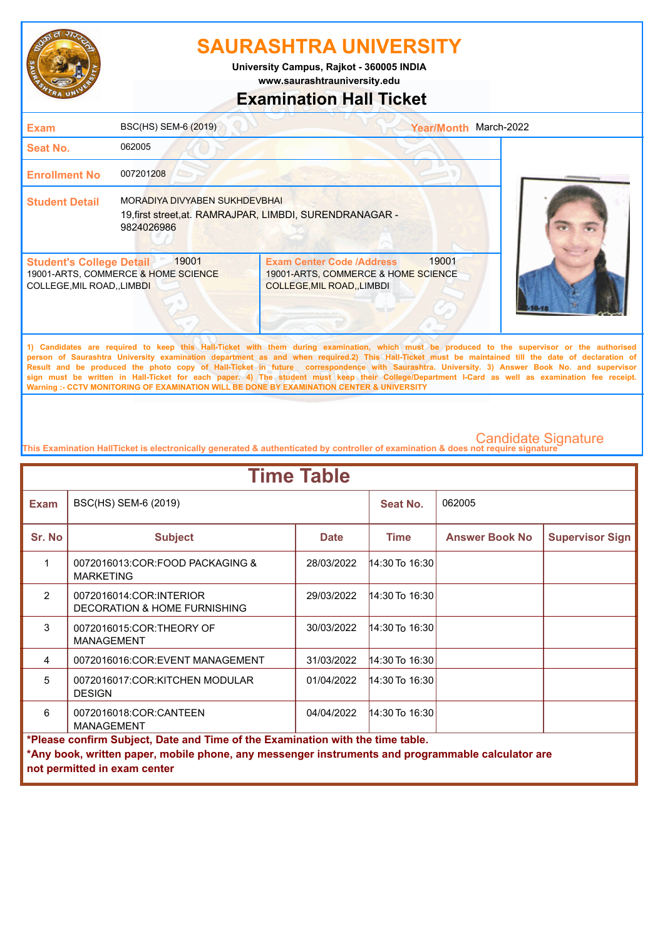

**www.saurashtrauniversity.edu University Campus, Rajkot - 360005 INDIA**

# **Examination Hall Ticket**

### 19001-ARTS, COMMERCE & HOME SCIENCE COLLEGE,MIL ROAD,,LIMBDI 19001-ARTS, COMMERCE & HOME SCIENCE COLLEGE,MIL ROAD,,LIMBDI **Student's College Detail | 19001 Student Detail** MORADIYA DIVYABEN SUKHDEVBHAI **Enrollment No** 007201208 **Seat No.** 062005 **Exam** BSC(HS) SEM-6 (2019) **1) Candidates are required to keep this Hall-Ticket with them during examination, which must be produced to the supervisor or the authorised person of Saurashtra University examination department as and when required.2) This Hall-Ticket must be maintained till the date of declaration of**  Exam Center Code /Address 19001 Year/Month March-2022 19,first street,at. RAMRAJPAR, LIMBDI, SURENDRANAGAR - 9824026986

**Result and be produced the photo copy of Hall-Ticket in future correspondence with Saurashtra. University. 3) Answer Book No. and supervisor sign must be written in Hall-Ticket for each paper. 4) The student must keep their College/Department I-Card as well as examination fee receipt. Warning :- CCTV MONITORING OF EXAMINATION WILL BE DONE BY EXAMINATION CENTER & UNIVERSITY**

| <b>Time Table</b>                                                                                                                                                                                                   |                                                                    |             |                    |                       |                        |  |
|---------------------------------------------------------------------------------------------------------------------------------------------------------------------------------------------------------------------|--------------------------------------------------------------------|-------------|--------------------|-----------------------|------------------------|--|
| <b>Exam</b>                                                                                                                                                                                                         | BSC(HS) SEM-6 (2019)                                               |             | Seat No.           | 062005                |                        |  |
| Sr. No                                                                                                                                                                                                              | <b>Subject</b>                                                     | <b>Date</b> | <b>Time</b>        | <b>Answer Book No</b> | <b>Supervisor Sign</b> |  |
| 1                                                                                                                                                                                                                   | 0072016013:COR:FOOD PACKAGING &<br><b>MARKETING</b>                | 28/03/2022  | 14:30 To 16:30     |                       |                        |  |
| $\mathcal{P}$                                                                                                                                                                                                       | 0072016014:COR:INTERIOR<br><b>DECORATION &amp; HOME FURNISHING</b> | 29/03/2022  | 14:30 To 16:30     |                       |                        |  |
| 3                                                                                                                                                                                                                   | 0072016015:COR:THEORY OF<br><b>MANAGEMENT</b>                      | 30/03/2022  | $14:30$ To $16:30$ |                       |                        |  |
| 4                                                                                                                                                                                                                   | 0072016016:COR:EVENT MANAGEMENT                                    | 31/03/2022  | 14:30 To 16:30     |                       |                        |  |
| 5                                                                                                                                                                                                                   | 0072016017:COR:KITCHEN MODULAR<br><b>DESIGN</b>                    | 01/04/2022  | $14:30$ To 16:30   |                       |                        |  |
| 6                                                                                                                                                                                                                   | 0072016018:COR:CANTEEN<br><b>MANAGEMENT</b>                        | 04/04/2022  | 14:30 To 16:30     |                       |                        |  |
| *Please confirm Subject, Date and Time of the Examination with the time table.<br>*Any book, written paper, mobile phone, any messenger instruments and programmable calculator are<br>not permitted in exam center |                                                                    |             |                    |                       |                        |  |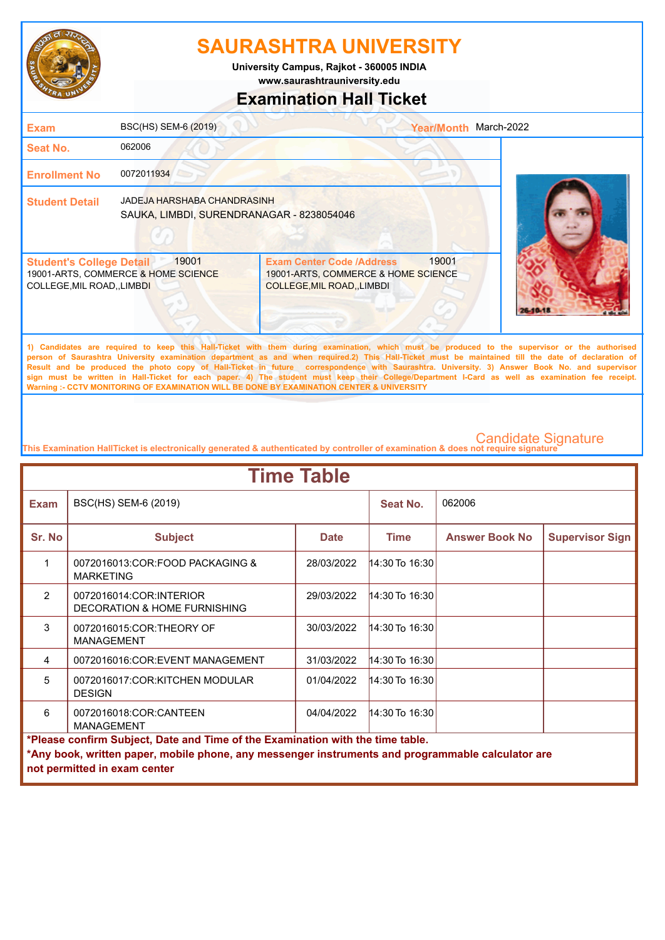

**University Campus, Rajkot - 360005 INDIA**

**www.saurashtrauniversity.edu**

## **Examination Hall Ticket**

| <b>Exam</b>                                                    | BSC(HS) SEM-6 (2019)                                                     |                                                                                                             | <b>Year/Month</b> | March-2022                                                                                                                                   |
|----------------------------------------------------------------|--------------------------------------------------------------------------|-------------------------------------------------------------------------------------------------------------|-------------------|----------------------------------------------------------------------------------------------------------------------------------------------|
| Seat No.                                                       | 062006                                                                   |                                                                                                             |                   |                                                                                                                                              |
| <b>Enrollment No</b>                                           | 0072011934                                                               |                                                                                                             |                   |                                                                                                                                              |
| <b>Student Detail</b>                                          | JADEJA HARSHABA CHANDRASINH<br>SAUKA, LIMBDI, SURENDRANAGAR - 8238054046 |                                                                                                             |                   |                                                                                                                                              |
| <b>Student's College Detail</b><br>COLLEGE, MIL ROAD, , LIMBDI | 19001<br>19001-ARTS, COMMERCE & HOME SCIENCE                             | <b>Exam Center Code /Address</b><br>19001-ARTS, COMMERCE & HOME SCIENCE<br><b>COLLEGE, MIL ROAD, LIMBDI</b> | 19001             |                                                                                                                                              |
|                                                                |                                                                          |                                                                                                             |                   | 1) Candidates are required to keep this Hall-Ticket with them during examination, which must be produced to the supervisor or the authorised |

**person of Saurashtra University examination department as and when required.2) This Hall-Ticket must be maintained till the date of declaration of Result and be produced the photo copy of Hall-Ticket in future correspondence with Saurashtra. University. 3) Answer Book No. and supervisor sign must be written in Hall-Ticket for each paper. 4) The student must keep their College/Department I-Card as well as examination fee receipt. Warning :- CCTV MONITORING OF EXAMINATION WILL BE DONE BY EXAMINATION CENTER & UNIVERSITY**

| <b>Time Table</b>                                                                                                                                                                                                   |                                                                             |             |                      |                       |                        |  |
|---------------------------------------------------------------------------------------------------------------------------------------------------------------------------------------------------------------------|-----------------------------------------------------------------------------|-------------|----------------------|-----------------------|------------------------|--|
| <b>Exam</b>                                                                                                                                                                                                         | BSC(HS) SEM-6 (2019)                                                        |             | Seat No.             | 062006                |                        |  |
| Sr. No                                                                                                                                                                                                              | <b>Subject</b>                                                              | <b>Date</b> | <b>Time</b>          | <b>Answer Book No</b> | <b>Supervisor Sign</b> |  |
| 1                                                                                                                                                                                                                   | 0072016013: COR: FOOD PACKAGING &<br><b>MARKETING</b>                       | 28/03/2022  | $14:30$ To $16:30$   |                       |                        |  |
| $\overline{2}$                                                                                                                                                                                                      | 0072016014:COR:INTERIOR<br><b>DECORATION &amp; HOME FURNISHING</b>          | 29/03/2022  | $ 14:30$ To $16:30 $ |                       |                        |  |
| 3                                                                                                                                                                                                                   | 0072016015:COR:THEORY OF<br><b>MANAGEMENT</b>                               | 30/03/2022  | $14:30$ To 16:30     |                       |                        |  |
| 4                                                                                                                                                                                                                   | 0072016016:COR:EVENT MANAGEMENT                                             | 31/03/2022  | $14:30$ To $16:30$   |                       |                        |  |
| $\overline{5}$                                                                                                                                                                                                      | 0072016017:COR:KITCHEN MODULAR<br><b>DESIGN</b>                             | 01/04/2022  | $14:30$ To $16:30$   |                       |                        |  |
| 6                                                                                                                                                                                                                   | 14:30 To 16:30<br>0072016018:COR:CANTEEN<br>04/04/2022<br><b>MANAGEMENT</b> |             |                      |                       |                        |  |
| *Please confirm Subject, Date and Time of the Examination with the time table.<br>*Any book, written paper, mobile phone, any messenger instruments and programmable calculator are<br>not permitted in exam center |                                                                             |             |                      |                       |                        |  |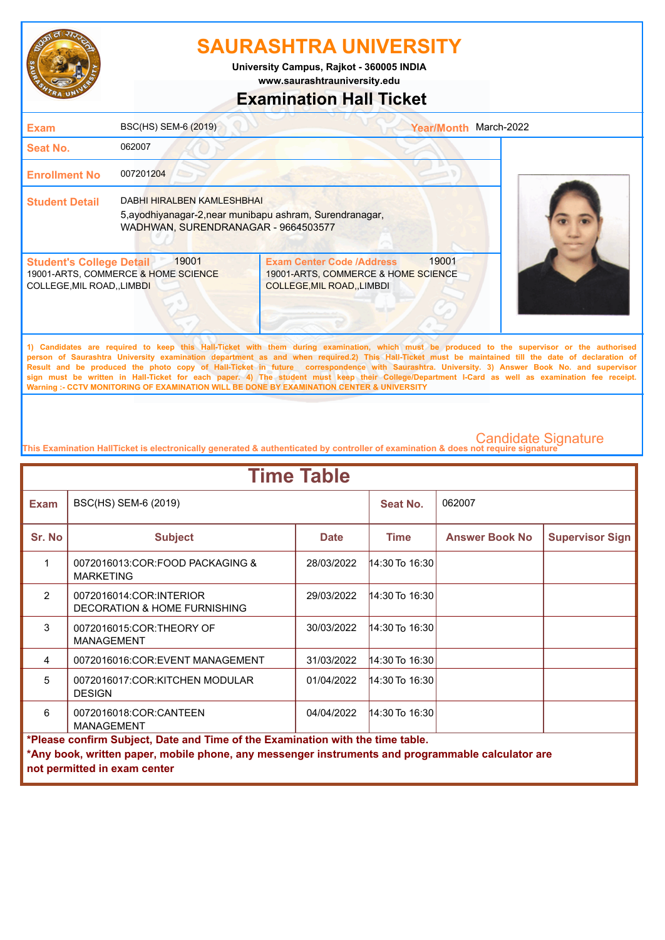

**www.saurashtrauniversity.edu University Campus, Rajkot - 360005 INDIA**

## **Examination Hall Ticket**

| <b>Exam</b>                                                    | BSC(HS) SEM-6 (2019)                                                                                                          |                                                                                                               | <b>Year/Month</b> | March-2022                                                                                                                                                                                                                                                                                      |
|----------------------------------------------------------------|-------------------------------------------------------------------------------------------------------------------------------|---------------------------------------------------------------------------------------------------------------|-------------------|-------------------------------------------------------------------------------------------------------------------------------------------------------------------------------------------------------------------------------------------------------------------------------------------------|
| <b>Seat No.</b>                                                | 062007                                                                                                                        |                                                                                                               |                   |                                                                                                                                                                                                                                                                                                 |
| <b>Enrollment No</b>                                           | 007201204                                                                                                                     |                                                                                                               |                   |                                                                                                                                                                                                                                                                                                 |
| <b>Student Detail</b>                                          | DABHI HIRALBEN KAMLESHBHAI<br>5, ayodhiyanagar-2, near munibapu ashram, Surendranagar,<br>WADHWAN, SURENDRANAGAR - 9664503577 |                                                                                                               |                   |                                                                                                                                                                                                                                                                                                 |
| <b>Student's College Detail</b><br>COLLEGE, MIL ROAD, , LIMBDI | 19001<br>19001-ARTS, COMMERCE & HOME SCIENCE                                                                                  | <b>Exam Center Code /Address</b><br>19001-ARTS, COMMERCE & HOME SCIENCE<br><b>COLLEGE, MIL ROAD, , LIMBDI</b> | 19001             |                                                                                                                                                                                                                                                                                                 |
|                                                                |                                                                                                                               |                                                                                                               |                   | 1) Candidates are required to keep this Hall-Ticket with them during examination, which must be produced to the supervisor or the authorised<br>above of According Habitants, constitution distinguished and calculated AV This Hall Title and a modelling att an also date of distinguished of |

**person of Saurashtra University examination department as and when required.2) This Hall-Ticket must be maintained till the date of declaration of Result and be produced the photo copy of Hall-Ticket in future correspondence with Saurashtra. University. 3) Answer Book No. and supervisor sign must be written in Hall-Ticket for each paper. 4) The student must keep their College/Department I-Card as well as examination fee receipt. Warning :- CCTV MONITORING OF EXAMINATION WILL BE DONE BY EXAMINATION CENTER & UNIVERSITY**

| <b>Time Table</b>                                                              |                                                                                                   |             |                  |                       |                        |  |
|--------------------------------------------------------------------------------|---------------------------------------------------------------------------------------------------|-------------|------------------|-----------------------|------------------------|--|
| <b>Exam</b>                                                                    | BSC(HS) SEM-6 (2019)                                                                              |             | Seat No.         | 062007                |                        |  |
| Sr. No                                                                         | <b>Subject</b>                                                                                    | <b>Date</b> | <b>Time</b>      | <b>Answer Book No</b> | <b>Supervisor Sign</b> |  |
| 1                                                                              | 0072016013:COR:FOOD PACKAGING &<br><b>MARKETING</b>                                               | 28/03/2022  | 14:30 To 16:30   |                       |                        |  |
| $\mathfrak{p}$                                                                 | 0072016014:COR:INTERIOR<br>DECORATION & HOME FURNISHING                                           | 29/03/2022  | 14:30 To 16:30   |                       |                        |  |
| 3                                                                              | 0072016015:COR:THEORY OF<br><b>MANAGEMENT</b>                                                     | 30/03/2022  | $14:30$ To 16:30 |                       |                        |  |
| 4                                                                              | 0072016016:COR:EVENT MANAGEMENT                                                                   | 31/03/2022  | 14:30 To 16:30   |                       |                        |  |
| 5                                                                              | 0072016017:COR:KITCHEN MODULAR<br><b>DESIGN</b>                                                   | 01/04/2022  | 14:30 To 16:30   |                       |                        |  |
| 6                                                                              | 0072016018:COR:CANTEEN<br><b>MANAGEMENT</b>                                                       | 04/04/2022  | 14:30 To 16:30   |                       |                        |  |
| *Please confirm Subject, Date and Time of the Examination with the time table. |                                                                                                   |             |                  |                       |                        |  |
|                                                                                | *Any book, written paper, mobile phone, any messenger instruments and programmable calculator are |             |                  |                       |                        |  |
|                                                                                | not permitted in exam center                                                                      |             |                  |                       |                        |  |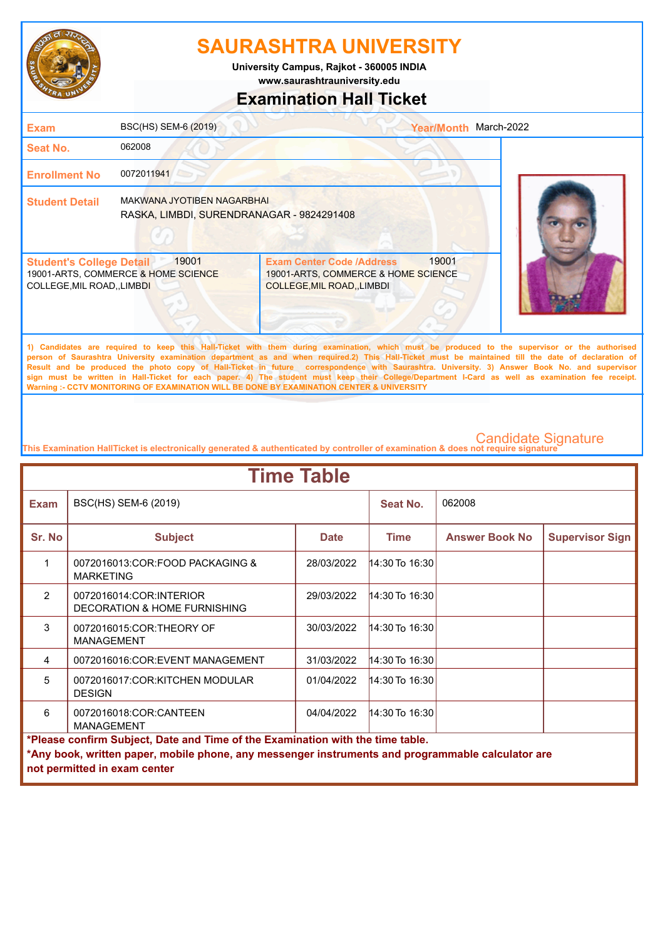

**University Campus, Rajkot - 360005 INDIA**

**www.saurashtrauniversity.edu**

## **Examination Hall Ticket**

| <b>Exam</b>                                                    | BSC(HS) SEM-6 (2019)                                                           |                                                                                                               | <b>Year/Month</b> | March-2022                                                                                                                                   |
|----------------------------------------------------------------|--------------------------------------------------------------------------------|---------------------------------------------------------------------------------------------------------------|-------------------|----------------------------------------------------------------------------------------------------------------------------------------------|
| Seat No.                                                       | 062008                                                                         |                                                                                                               |                   |                                                                                                                                              |
| <b>Enrollment No</b>                                           | 0072011941                                                                     |                                                                                                               |                   |                                                                                                                                              |
| <b>Student Detail</b>                                          | <b>MAKWANA JYOTIBEN NAGARBHAI</b><br>RASKA, LIMBDI, SURENDRANAGAR - 9824291408 |                                                                                                               |                   |                                                                                                                                              |
| <b>Student's College Detail</b><br>COLLEGE, MIL ROAD, , LIMBDI | 19001<br>19001-ARTS, COMMERCE & HOME SCIENCE                                   | <b>Exam Center Code /Address</b><br>19001-ARTS, COMMERCE & HOME SCIENCE<br><b>COLLEGE, MIL ROAD, , LIMBDI</b> | 19001             |                                                                                                                                              |
|                                                                |                                                                                |                                                                                                               |                   | 1) Candidates are required to keep this Hall-Ticket with them during examination, which must be produced to the supervisor or the authorised |

**person of Saurashtra University examination department as and when required.2) This Hall-Ticket must be maintained till the date of declaration of Result and be produced the photo copy of Hall-Ticket in future correspondence with Saurashtra. University. 3) Answer Book No. and supervisor sign must be written in Hall-Ticket for each paper. 4) The student must keep their College/Department I-Card as well as examination fee receipt. Warning :- CCTV MONITORING OF EXAMINATION WILL BE DONE BY EXAMINATION CENTER & UNIVERSITY**

| <b>Time Table</b>                                                                                                                                                                                                   |                                                                    |             |                    |                       |                        |  |
|---------------------------------------------------------------------------------------------------------------------------------------------------------------------------------------------------------------------|--------------------------------------------------------------------|-------------|--------------------|-----------------------|------------------------|--|
| <b>Exam</b>                                                                                                                                                                                                         | BSC(HS) SEM-6 (2019)                                               |             | Seat No.           | 062008                |                        |  |
| Sr. No                                                                                                                                                                                                              | <b>Subject</b>                                                     | <b>Date</b> | <b>Time</b>        | <b>Answer Book No</b> | <b>Supervisor Sign</b> |  |
| 1                                                                                                                                                                                                                   | 0072016013:COR:FOOD PACKAGING &<br><b>MARKETING</b>                | 28/03/2022  | 14:30 To 16:30     |                       |                        |  |
| $\mathcal{P}$                                                                                                                                                                                                       | 0072016014:COR:INTERIOR<br><b>DECORATION &amp; HOME FURNISHING</b> | 29/03/2022  | $14:30$ To $16:30$ |                       |                        |  |
| 3                                                                                                                                                                                                                   | 0072016015:COR:THEORY OF<br><b>MANAGEMENT</b>                      | 30/03/2022  | 14:30 To 16:30     |                       |                        |  |
| 4                                                                                                                                                                                                                   | 0072016016:COR:EVENT MANAGEMENT                                    | 31/03/2022  | 14:30 To 16:30     |                       |                        |  |
| 5                                                                                                                                                                                                                   | 0072016017:COR:KITCHEN MODULAR<br><b>DESIGN</b>                    | 01/04/2022  | $14:30$ To 16:30   |                       |                        |  |
| 6                                                                                                                                                                                                                   | 0072016018:COR:CANTEEN<br><b>MANAGEMENT</b>                        | 04/04/2022  | 14:30 To 16:30     |                       |                        |  |
| *Please confirm Subject, Date and Time of the Examination with the time table.<br>*Any book, written paper, mobile phone, any messenger instruments and programmable calculator are<br>not permitted in exam center |                                                                    |             |                    |                       |                        |  |
|                                                                                                                                                                                                                     |                                                                    |             |                    |                       |                        |  |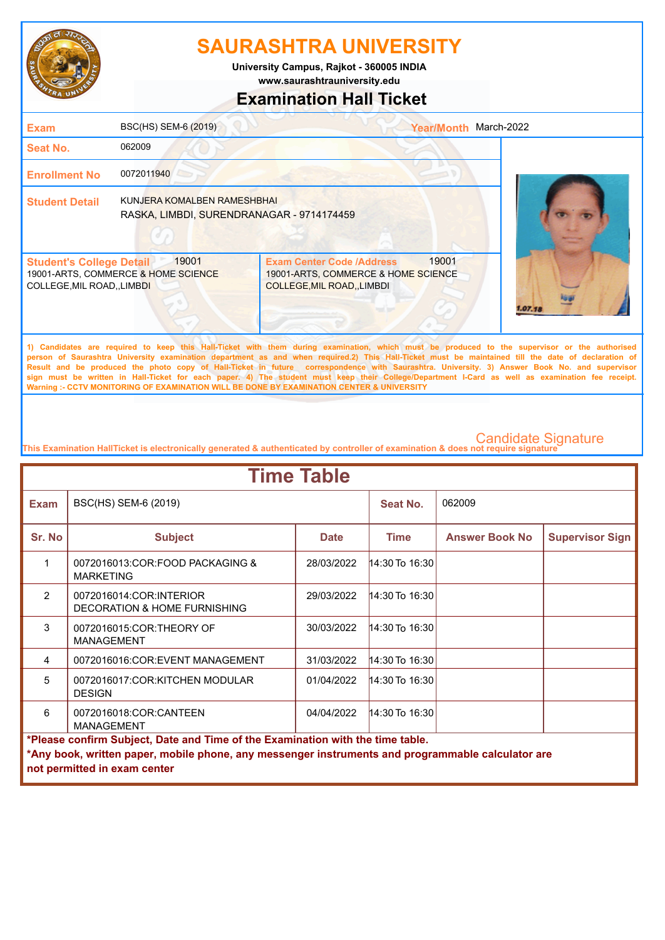

**University Campus, Rajkot - 360005 INDIA**

**www.saurashtrauniversity.edu**

### **Examination Hall Ticket**

| <b>Exam</b>                                                    | BSC(HS) SEM-6 (2019)                                                     |                                                                                                        | <b>Year/Month</b> | March-2022                                                                                                                                  |
|----------------------------------------------------------------|--------------------------------------------------------------------------|--------------------------------------------------------------------------------------------------------|-------------------|---------------------------------------------------------------------------------------------------------------------------------------------|
| <b>Seat No.</b>                                                | 062009                                                                   |                                                                                                        |                   |                                                                                                                                             |
| <b>Enrollment No</b>                                           | 0072011940                                                               |                                                                                                        |                   |                                                                                                                                             |
| <b>Student Detail</b>                                          | KUNJERA KOMALBEN RAMESHBHAI<br>RASKA, LIMBDI, SURENDRANAGAR - 9714174459 |                                                                                                        |                   |                                                                                                                                             |
| <b>Student's College Detail</b><br>COLLEGE, MIL ROAD, , LIMBDI | 19001<br>19001-ARTS, COMMERCE & HOME SCIENCE                             | <b>Exam Center Code /Address</b><br>19001-ARTS, COMMERCE & HOME SCIENCE<br>COLLEGE, MIL ROAD, , LIMBDI | 19001             |                                                                                                                                             |
|                                                                |                                                                          |                                                                                                        |                   | A Accellation on constraint to home able that the controlleration of constraints with the second and the compactness on the controlleration |

**1) Candidates are required to keep this Hall-Ticket with them during examination, which must be produced to the supervisor or the authorised person of Saurashtra University examination department as and when required.2) This Hall-Ticket must be maintained till the date of declaration of Result and be produced the photo copy of Hall-Ticket in future correspondence with Saurashtra. University. 3) Answer Book No. and supervisor sign must be written in Hall-Ticket for each paper. 4) The student must keep their College/Department I-Card as well as examination fee receipt. Warning :- CCTV MONITORING OF EXAMINATION WILL BE DONE BY EXAMINATION CENTER & UNIVERSITY**

| <b>Time Table</b>                                                              |                                                                                                                                   |             |                    |                       |                        |  |
|--------------------------------------------------------------------------------|-----------------------------------------------------------------------------------------------------------------------------------|-------------|--------------------|-----------------------|------------------------|--|
| <b>Exam</b>                                                                    | BSC(HS) SEM-6 (2019)                                                                                                              |             | Seat No.           | 062009                |                        |  |
| Sr. No                                                                         | <b>Subject</b>                                                                                                                    | <b>Date</b> | <b>Time</b>        | <b>Answer Book No</b> | <b>Supervisor Sign</b> |  |
| 1                                                                              | 0072016013:COR:FOOD PACKAGING &<br><b>MARKETING</b>                                                                               | 28/03/2022  | $14:30$ To 16:30   |                       |                        |  |
| $\mathcal{P}$                                                                  | 0072016014:COR:INTERIOR<br>DECORATION & HOME FURNISHING                                                                           | 29/03/2022  | $14:30$ To $16:30$ |                       |                        |  |
| 3                                                                              | 0072016015:COR:THEORY OF<br><b>MANAGEMENT</b>                                                                                     | 30/03/2022  | 14:30 To 16:30     |                       |                        |  |
| 4                                                                              | 0072016016:COR:EVENT MANAGEMENT                                                                                                   | 31/03/2022  | 14:30 To 16:30     |                       |                        |  |
| 5                                                                              | 0072016017:COR:KITCHEN MODULAR<br><b>DESIGN</b>                                                                                   | 01/04/2022  | 14:30 To 16:30     |                       |                        |  |
| 6                                                                              | 0072016018:COR:CANTEEN<br><b>MANAGEMENT</b>                                                                                       | 04/04/2022  | 14:30 To 16:30     |                       |                        |  |
| *Please confirm Subject, Date and Time of the Examination with the time table. |                                                                                                                                   |             |                    |                       |                        |  |
|                                                                                | *Any book, written paper, mobile phone, any messenger instruments and programmable calculator are<br>not permitted in exam center |             |                    |                       |                        |  |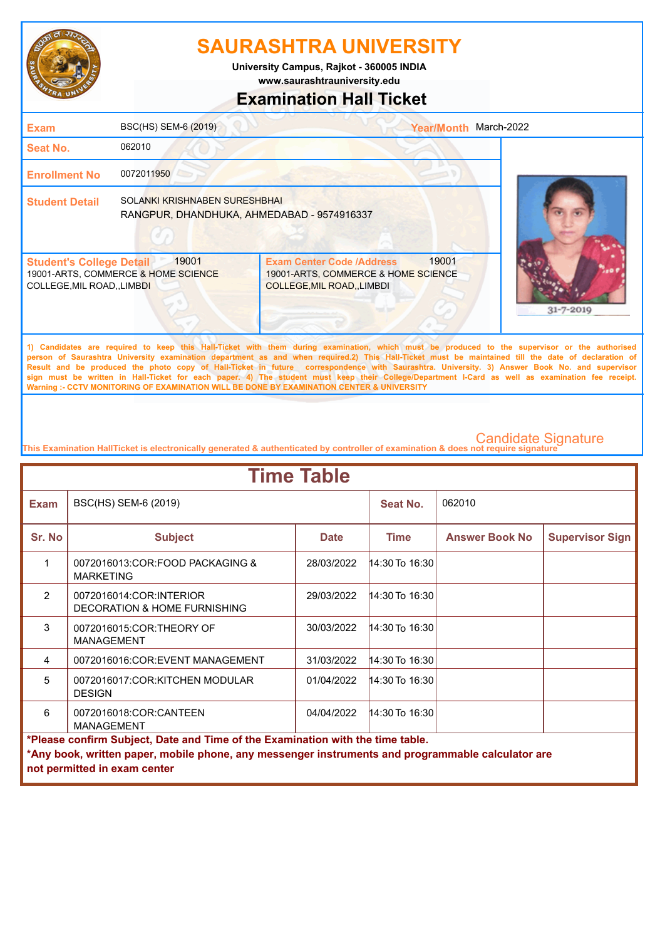

**University Campus, Rajkot - 360005 INDIA**

**www.saurashtrauniversity.edu**

### **Examination Hall Ticket**

| <b>Exam</b>                                                         | BSC(HS) SEM-6 (2019)                                                        |                                                                                                               | <b>Year/Month</b> | March-2022      |
|---------------------------------------------------------------------|-----------------------------------------------------------------------------|---------------------------------------------------------------------------------------------------------------|-------------------|-----------------|
| <b>Seat No.</b>                                                     | 062010                                                                      |                                                                                                               |                   |                 |
| <b>Enrollment No</b>                                                | 0072011950                                                                  |                                                                                                               |                   |                 |
| <b>Student Detail</b>                                               | SOLANKI KRISHNABEN SURESHBHAI<br>RANGPUR, DHANDHUKA, AHMEDABAD - 9574916337 |                                                                                                               |                   |                 |
| <b>Student's College Detail</b><br><b>COLLEGE, MIL ROAD, LIMBDI</b> | 19001<br>19001-ARTS, COMMERCE & HOME SCIENCE                                | <b>Exam Center Code /Address</b><br>19001-ARTS, COMMERCE & HOME SCIENCE<br><b>COLLEGE, MIL ROAD, , LIMBDI</b> | 19001             | $31 - 7 - 2019$ |

**1) Candidates are required to keep this Hall-Ticket with them during examination, which must be produced to the supervisor or the authorised person of Saurashtra University examination department as and when required.2) This Hall-Ticket must be maintained till the date of declaration of Result and be produced the photo copy of Hall-Ticket in future correspondence with Saurashtra. University. 3) Answer Book No. and supervisor sign must be written in Hall-Ticket for each paper. 4) The student must keep their College/Department I-Card as well as examination fee receipt. Warning :- CCTV MONITORING OF EXAMINATION WILL BE DONE BY EXAMINATION CENTER & UNIVERSITY**

| <b>Time Table</b>                                                              |                                                                                                   |             |                |                       |                        |  |  |
|--------------------------------------------------------------------------------|---------------------------------------------------------------------------------------------------|-------------|----------------|-----------------------|------------------------|--|--|
| <b>Exam</b>                                                                    | BSC(HS) SEM-6 (2019)                                                                              |             | Seat No.       | 062010                |                        |  |  |
| Sr. No                                                                         | <b>Subject</b>                                                                                    | <b>Date</b> | <b>Time</b>    | <b>Answer Book No</b> | <b>Supervisor Sign</b> |  |  |
| 1                                                                              | 0072016013:COR:FOOD PACKAGING &<br><b>MARKETING</b>                                               | 28/03/2022  | 14:30 To 16:30 |                       |                        |  |  |
| $\mathcal{P}$                                                                  | 0072016014:COR:INTERIOR<br>DECORATION & HOME FURNISHING                                           | 29/03/2022  | 14:30 To 16:30 |                       |                        |  |  |
| 3                                                                              | 0072016015:COR:THEORY OF<br><b>MANAGEMENT</b>                                                     | 30/03/2022  | 14:30 To 16:30 |                       |                        |  |  |
| 4                                                                              | 0072016016:COR:EVENT MANAGEMENT                                                                   | 31/03/2022  | 14:30 To 16:30 |                       |                        |  |  |
| 5                                                                              | 0072016017:COR:KITCHEN MODULAR<br><b>DESIGN</b>                                                   | 01/04/2022  | 14:30 To 16:30 |                       |                        |  |  |
| 6                                                                              | 0072016018:COR:CANTEEN<br><b>MANAGEMENT</b>                                                       | 04/04/2022  | 14:30 To 16:30 |                       |                        |  |  |
| *Please confirm Subject, Date and Time of the Examination with the time table. |                                                                                                   |             |                |                       |                        |  |  |
|                                                                                | *Any book, written paper, mobile phone, any messenger instruments and programmable calculator are |             |                |                       |                        |  |  |
|                                                                                | not permitted in exam center                                                                      |             |                |                       |                        |  |  |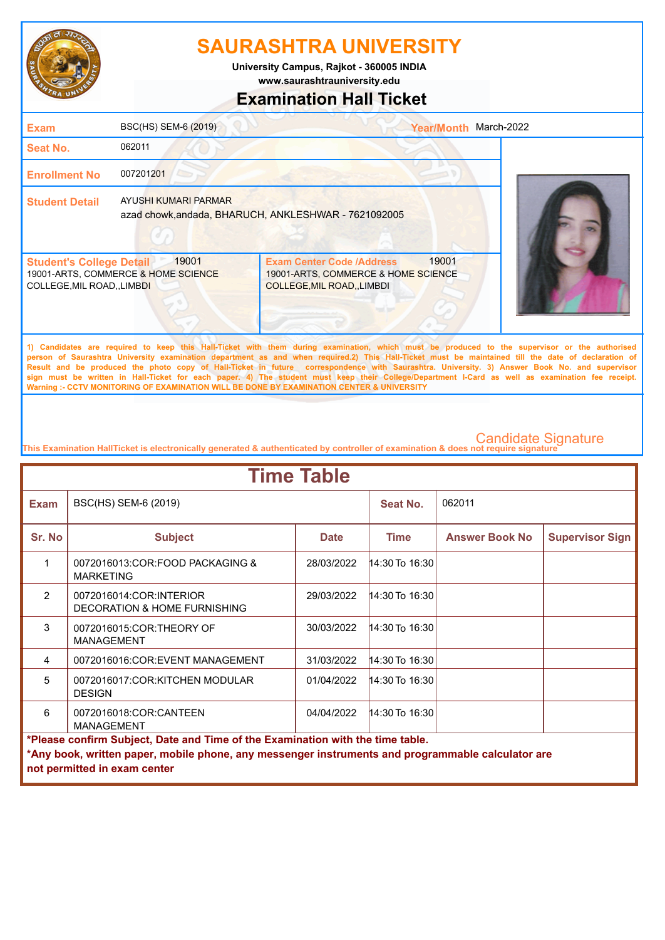

**University Campus, Rajkot - 360005 INDIA**

### **www.saurashtrauniversity.edu**

### **Examination Hall Ticket**

| <b>Exam</b>                                                   | BSC(HS) SEM-6 (2019)                         |                                                                                                             | March-2022<br><b>Year/Month</b> |  |
|---------------------------------------------------------------|----------------------------------------------|-------------------------------------------------------------------------------------------------------------|---------------------------------|--|
| <b>Seat No.</b>                                               | 062011                                       |                                                                                                             |                                 |  |
| <b>Enrollment No</b>                                          | 007201201                                    |                                                                                                             |                                 |  |
| <b>Student Detail</b>                                         | AYUSHI KUMARI PARMAR                         | azad chowk, andada, BHARUCH, ANKLESHWAR - 7621092005                                                        |                                 |  |
| <b>Student's College Detail</b><br>COLLEGE, MIL ROAD,, LIMBDI | 19001<br>19001-ARTS, COMMERCE & HOME SCIENCE | <b>Exam Center Code /Address</b><br>19001-ARTS, COMMERCE & HOME SCIENCE<br><b>COLLEGE, MIL ROAD, LIMBDI</b> | 19001                           |  |

**1) Candidates are required to keep this Hall-Ticket with them during examination, which must be produced to the supervisor or the authorised person of Saurashtra University examination department as and when required.2) This Hall-Ticket must be maintained till the date of declaration of Result and be produced the photo copy of Hall-Ticket in future correspondence with Saurashtra. University. 3) Answer Book No. and supervisor sign must be written in Hall-Ticket for each paper. 4) The student must keep their College/Department I-Card as well as examination fee receipt. Warning :- CCTV MONITORING OF EXAMINATION WILL BE DONE BY EXAMINATION CENTER & UNIVERSITY**

| <b>Time Table</b>                                                              |                                                                                                   |             |                |                       |                        |  |
|--------------------------------------------------------------------------------|---------------------------------------------------------------------------------------------------|-------------|----------------|-----------------------|------------------------|--|
| <b>Exam</b>                                                                    | BSC(HS) SEM-6 (2019)                                                                              |             | Seat No.       | 062011                |                        |  |
| Sr. No                                                                         | <b>Subject</b>                                                                                    | <b>Date</b> | <b>Time</b>    | <b>Answer Book No</b> | <b>Supervisor Sign</b> |  |
| 1                                                                              | 0072016013:COR:FOOD PACKAGING &<br><b>MARKETING</b>                                               | 28/03/2022  | 14:30 To 16:30 |                       |                        |  |
| $\mathcal{P}$                                                                  | 0072016014:COR:INTERIOR<br>DECORATION & HOME FURNISHING                                           | 29/03/2022  | 14:30 To 16:30 |                       |                        |  |
| 3                                                                              | 0072016015:COR:THEORY OF<br><b>MANAGEMENT</b>                                                     | 30/03/2022  | 14:30 To 16:30 |                       |                        |  |
| 4                                                                              | 0072016016:COR:EVENT MANAGEMENT                                                                   | 31/03/2022  | 14:30 To 16:30 |                       |                        |  |
| 5                                                                              | 0072016017:COR:KITCHEN MODULAR<br><b>DESIGN</b>                                                   | 01/04/2022  | 14:30 To 16:30 |                       |                        |  |
| 6                                                                              | 0072016018:COR:CANTEEN<br><b>MANAGEMENT</b>                                                       | 04/04/2022  | 14:30 To 16:30 |                       |                        |  |
| *Please confirm Subject, Date and Time of the Examination with the time table. |                                                                                                   |             |                |                       |                        |  |
|                                                                                | *Any book, written paper, mobile phone, any messenger instruments and programmable calculator are |             |                |                       |                        |  |
|                                                                                | not permitted in exam center                                                                      |             |                |                       |                        |  |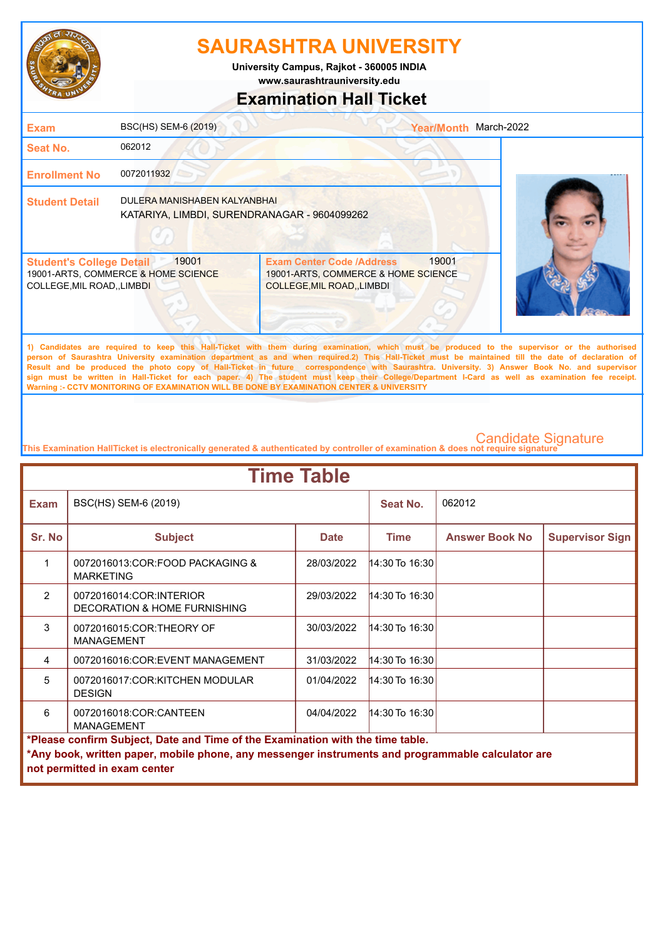

**University Campus, Rajkot - 360005 INDIA**

**www.saurashtrauniversity.edu**

## **Examination Hall Ticket**

| <b>Exam</b>                                                    | BSC(HS) SEM-6 (2019)                                                         |                                                                                                             | <b>Year/Month</b> | March-2022                                                                                                                                   |
|----------------------------------------------------------------|------------------------------------------------------------------------------|-------------------------------------------------------------------------------------------------------------|-------------------|----------------------------------------------------------------------------------------------------------------------------------------------|
| <b>Seat No.</b>                                                | 062012                                                                       |                                                                                                             |                   |                                                                                                                                              |
| <b>Enrollment No</b>                                           | 0072011932                                                                   |                                                                                                             |                   |                                                                                                                                              |
| <b>Student Detail</b>                                          | DULERA MANISHABEN KALYANBHAI<br>KATARIYA, LIMBDI, SURENDRANAGAR - 9604099262 |                                                                                                             |                   |                                                                                                                                              |
| <b>Student's College Detail</b><br>COLLEGE, MIL ROAD, , LIMBDI | 19001<br>19001-ARTS, COMMERCE & HOME SCIENCE                                 | <b>Exam Center Code /Address</b><br>19001-ARTS, COMMERCE & HOME SCIENCE<br><b>COLLEGE, MIL ROAD, LIMBDI</b> | 19001             |                                                                                                                                              |
|                                                                |                                                                              |                                                                                                             |                   | 1) Candidates are required to keep this Hall-Ticket with them during examination, which must be produced to the supervisor or the authorised |

**person of Saurashtra University examination department as and when required.2) This Hall-Ticket must be maintained till the date of declaration of Result and be produced the photo copy of Hall-Ticket in future correspondence with Saurashtra. University. 3) Answer Book No. and supervisor sign must be written in Hall-Ticket for each paper. 4) The student must keep their College/Department I-Card as well as examination fee receipt. Warning :- CCTV MONITORING OF EXAMINATION WILL BE DONE BY EXAMINATION CENTER & UNIVERSITY**

| <b>Time Table</b>                                                              |                                                                                                   |             |                    |                       |                        |  |  |
|--------------------------------------------------------------------------------|---------------------------------------------------------------------------------------------------|-------------|--------------------|-----------------------|------------------------|--|--|
| <b>Exam</b>                                                                    | BSC(HS) SEM-6 (2019)                                                                              |             | Seat No.           | 062012                |                        |  |  |
| Sr. No                                                                         | <b>Subject</b>                                                                                    | <b>Date</b> | <b>Time</b>        | <b>Answer Book No</b> | <b>Supervisor Sign</b> |  |  |
| 1                                                                              | 0072016013:COR:FOOD PACKAGING &<br><b>MARKETING</b>                                               | 28/03/2022  | $14:30$ To $16:30$ |                       |                        |  |  |
| $\mathcal{P}$                                                                  | 0072016014:COR:INTERIOR<br>DECORATION & HOME FURNISHING                                           | 29/03/2022  | $14:30$ To 16:30   |                       |                        |  |  |
| 3                                                                              | 0072016015:COR:THEORY OF<br><b>MANAGEMENT</b>                                                     | 30/03/2022  | 14:30 To 16:30     |                       |                        |  |  |
| 4                                                                              | 0072016016:COR:EVENT MANAGEMENT                                                                   | 31/03/2022  | 14:30 To 16:30     |                       |                        |  |  |
| 5                                                                              | 0072016017:COR:KITCHEN MODULAR<br><b>DESIGN</b>                                                   | 01/04/2022  | 14:30 To 16:30     |                       |                        |  |  |
| 6                                                                              | 0072016018:COR:CANTEEN<br><b>MANAGEMENT</b>                                                       | 04/04/2022  | 14:30 To 16:30     |                       |                        |  |  |
| *Please confirm Subject, Date and Time of the Examination with the time table. |                                                                                                   |             |                    |                       |                        |  |  |
|                                                                                | *Any book, written paper, mobile phone, any messenger instruments and programmable calculator are |             |                    |                       |                        |  |  |
|                                                                                | not permitted in exam center                                                                      |             |                    |                       |                        |  |  |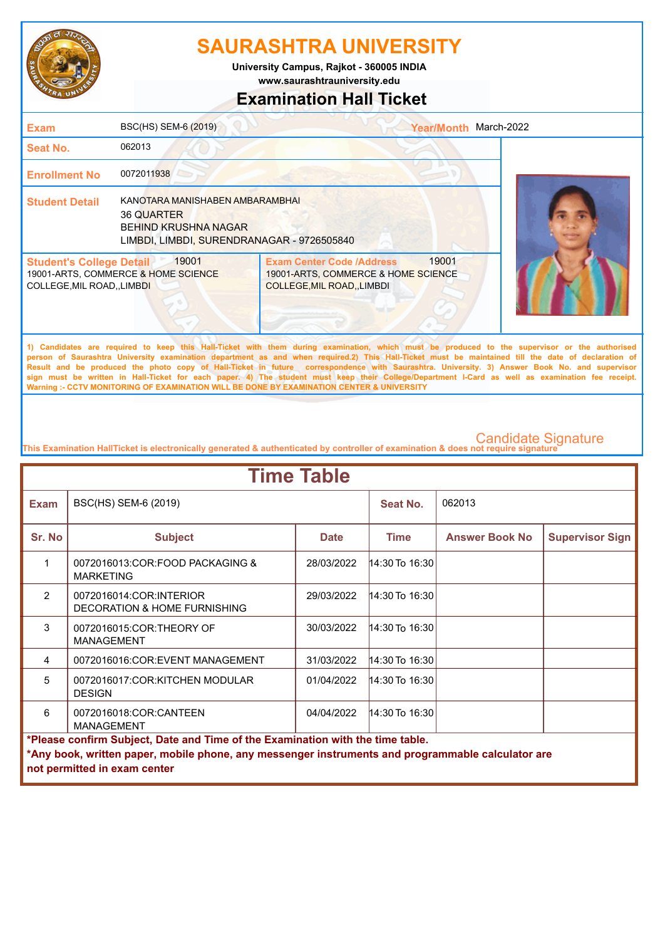

**University Campus, Rajkot - 360005 INDIA**

**www.saurashtrauniversity.edu**

## **Examination Hall Ticket**

| <b>Exam</b>                                                    | BSC(HS) SEM-6 (2019)                                                                                                       |                                                                                                                                                                                                                                                                                                                                                                                                                                                                                                                                                                                                        | Year/Month March-2022 |  |
|----------------------------------------------------------------|----------------------------------------------------------------------------------------------------------------------------|--------------------------------------------------------------------------------------------------------------------------------------------------------------------------------------------------------------------------------------------------------------------------------------------------------------------------------------------------------------------------------------------------------------------------------------------------------------------------------------------------------------------------------------------------------------------------------------------------------|-----------------------|--|
| Seat No.                                                       | 062013                                                                                                                     |                                                                                                                                                                                                                                                                                                                                                                                                                                                                                                                                                                                                        |                       |  |
| <b>Enrollment No</b>                                           | 0072011938                                                                                                                 |                                                                                                                                                                                                                                                                                                                                                                                                                                                                                                                                                                                                        |                       |  |
| <b>Student Detail</b>                                          | KANOTARA MANISHABEN AMBARAMBHAI<br>36 QUARTER<br><b>BEHIND KRUSHNA NAGAR</b><br>LIMBDI, LIMBDI, SURENDRANAGAR - 9726505840 |                                                                                                                                                                                                                                                                                                                                                                                                                                                                                                                                                                                                        |                       |  |
| <b>Student's College Detail</b><br>COLLEGE, MIL ROAD, , LIMBDI | 19001<br>19001-ARTS, COMMERCE & HOME SCIENCE                                                                               | <b>Exam Center Code /Address</b><br>19001-ARTS, COMMERCE & HOME SCIENCE<br>COLLEGE, MIL ROAD, LIMBDI                                                                                                                                                                                                                                                                                                                                                                                                                                                                                                   | 19001                 |  |
|                                                                |                                                                                                                            | 1) Candidates are required to keep this Hall-Ticket with them during examination, which must be produced to the supervisor or the authorised<br>person of Saurashtra University examination department as and when required.2) This Hall-Ticket must be maintained till the date of declaration of<br>Result and be produced the photo copy of Hall-Ticket in future correspondence with Saurashtra. University. 3) Answer Book No. and supervisor<br>sign must be written in Hall-Ticket for each paper. 4) The student must keep their College/Department I-Card as well as examination fee receipt. |                       |  |

**This Examination HallTicket is electronically generated & authenticated by controller of examination & does not require signature** 

**Warning :- CCTV MONITORING OF EXAMINATION WILL BE DONE BY EXAMINATION CENTER & UNIVERSITY**

| <b>Time Table</b>                                                                                                                                                                                                   |                                                                    |             |                    |                       |                        |  |
|---------------------------------------------------------------------------------------------------------------------------------------------------------------------------------------------------------------------|--------------------------------------------------------------------|-------------|--------------------|-----------------------|------------------------|--|
| <b>Exam</b>                                                                                                                                                                                                         | BSC(HS) SEM-6 (2019)                                               |             | Seat No.           | 062013                |                        |  |
| Sr. No                                                                                                                                                                                                              | <b>Subject</b>                                                     | <b>Date</b> | <b>Time</b>        | <b>Answer Book No</b> | <b>Supervisor Sign</b> |  |
| 1                                                                                                                                                                                                                   | 0072016013:COR:FOOD PACKAGING &<br><b>MARKETING</b>                | 28/03/2022  | 14:30 To 16:30     |                       |                        |  |
| $\mathcal{P}$                                                                                                                                                                                                       | 0072016014:COR:INTERIOR<br><b>DECORATION &amp; HOME FURNISHING</b> | 29/03/2022  | $14:30$ To $16:30$ |                       |                        |  |
| 3                                                                                                                                                                                                                   | 0072016015:COR:THEORY OF<br><b>MANAGEMENT</b>                      | 30/03/2022  | 14:30 To 16:30     |                       |                        |  |
| 4                                                                                                                                                                                                                   | 0072016016:COR:EVENT MANAGEMENT                                    | 31/03/2022  | 14:30 To $16:30$   |                       |                        |  |
| 5                                                                                                                                                                                                                   | 0072016017:COR:KITCHEN MODULAR<br><b>DESIGN</b>                    | 01/04/2022  | 14:30 To 16:30     |                       |                        |  |
| 6                                                                                                                                                                                                                   | 0072016018:COR:CANTEEN<br><b>MANAGEMENT</b>                        | 04/04/2022  | $14:30$ To $16:30$ |                       |                        |  |
| *Please confirm Subject, Date and Time of the Examination with the time table.<br>*Any book, written paper, mobile phone, any messenger instruments and programmable calculator are<br>not permitted in exam center |                                                                    |             |                    |                       |                        |  |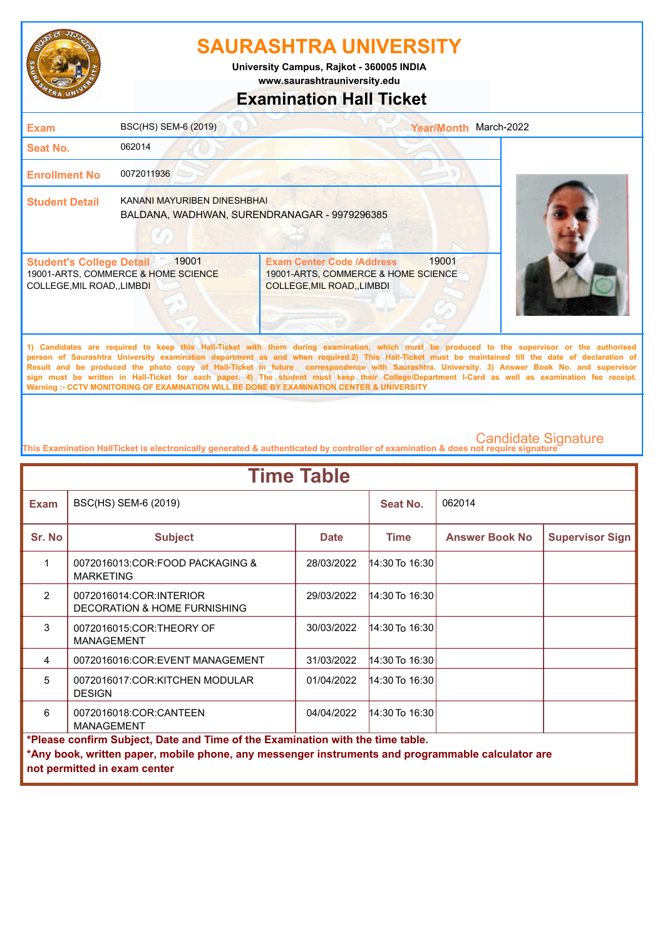

**www.saurashtrauniversity.edu University Campus, Rajkot - 360005 INDIA**

## **Examination Hall Ticket**

| <b>Exam</b>                                                    | BSC(HS) SEM-6 (2019)                                                        |                                                                                                        | <b>Year/Month</b> | March-2022                                                                                                                                   |
|----------------------------------------------------------------|-----------------------------------------------------------------------------|--------------------------------------------------------------------------------------------------------|-------------------|----------------------------------------------------------------------------------------------------------------------------------------------|
| <b>Seat No.</b>                                                | 062014                                                                      |                                                                                                        |                   |                                                                                                                                              |
| <b>Enrollment No</b>                                           | 0072011936                                                                  |                                                                                                        |                   |                                                                                                                                              |
| <b>Student Detail</b>                                          | KANANI MAYURIBEN DINESHBHAI<br>BALDANA, WADHWAN, SURENDRANAGAR - 9979296385 |                                                                                                        |                   |                                                                                                                                              |
| <b>Student's College Detail</b><br>COLLEGE, MIL ROAD, , LIMBDI | 19001<br>19001-ARTS, COMMERCE & HOME SCIENCE                                | <b>Exam Center Code /Address</b><br>19001-ARTS, COMMERCE & HOME SCIENCE<br>COLLEGE, MIL ROAD, , LIMBDI | 19001             |                                                                                                                                              |
|                                                                |                                                                             |                                                                                                        |                   | 1) Candidates are required to keep this Hall-Ticket with them during examination, which must be produced to the supervisor or the authorised |

**person of Saurashtra University examination department as and when required.2) This Hall-Ticket must be maintained till the date of declaration of Result and be produced the photo copy of Hall-Ticket in future correspondence with Saurashtra. University. 3) Answer Book No. and supervisor sign must be written in Hall-Ticket for each paper. 4) The student must keep their College/Department I-Card as well as examination fee receipt. Warning :- CCTV MONITORING OF EXAMINATION WILL BE DONE BY EXAMINATION CENTER & UNIVERSITY**

| <b>Time Table</b>                                                                                                                                                                                                   |                                                                    |             |                    |                       |                        |  |
|---------------------------------------------------------------------------------------------------------------------------------------------------------------------------------------------------------------------|--------------------------------------------------------------------|-------------|--------------------|-----------------------|------------------------|--|
| <b>Exam</b>                                                                                                                                                                                                         | BSC(HS) SEM-6 (2019)                                               |             | Seat No.           | 062014                |                        |  |
| Sr. No                                                                                                                                                                                                              | <b>Subject</b>                                                     | <b>Date</b> | <b>Time</b>        | <b>Answer Book No</b> | <b>Supervisor Sign</b> |  |
| 1                                                                                                                                                                                                                   | 0072016013:COR:FOOD PACKAGING &<br><b>MARKETING</b>                | 28/03/2022  | 14:30 To 16:30     |                       |                        |  |
| $\mathcal{P}$                                                                                                                                                                                                       | 0072016014:COR:INTERIOR<br><b>DECORATION &amp; HOME FURNISHING</b> | 29/03/2022  | $14:30$ To $16:30$ |                       |                        |  |
| 3                                                                                                                                                                                                                   | 0072016015:COR:THEORY OF<br><b>MANAGEMENT</b>                      | 30/03/2022  | 14:30 To 16:30     |                       |                        |  |
| 4                                                                                                                                                                                                                   | 0072016016:COR:EVENT MANAGEMENT                                    | 31/03/2022  | 14:30 To 16:30     |                       |                        |  |
| 5                                                                                                                                                                                                                   | 0072016017:COR:KITCHEN MODULAR<br><b>DESIGN</b>                    | 01/04/2022  | $14:30$ To 16:30   |                       |                        |  |
| 6                                                                                                                                                                                                                   | 0072016018:COR:CANTEEN<br><b>MANAGEMENT</b>                        | 04/04/2022  | 14:30 To 16:30     |                       |                        |  |
| *Please confirm Subject, Date and Time of the Examination with the time table.<br>*Any book, written paper, mobile phone, any messenger instruments and programmable calculator are<br>not permitted in exam center |                                                                    |             |                    |                       |                        |  |
|                                                                                                                                                                                                                     |                                                                    |             |                    |                       |                        |  |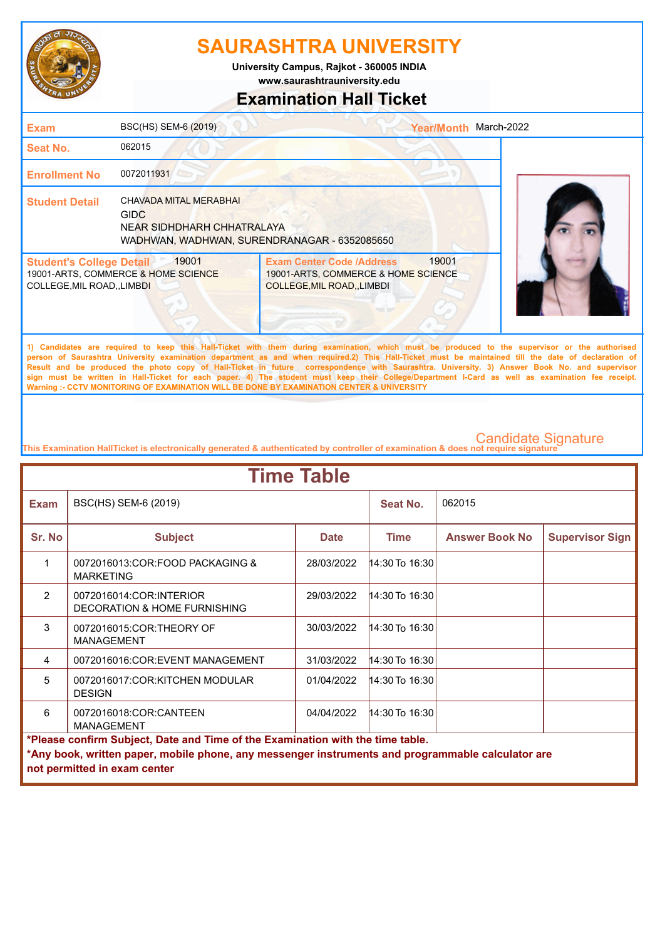

**www.saurashtrauniversity.edu University Campus, Rajkot - 360005 INDIA**

### **Examination Hall Ticket**

| <b>Exam</b>                                                    | BSC(HS) SEM-6 (2019)                                                |                                                                                                      | <b>Year/Month</b> | March-2022                                                                                                                                                                                                                                                                                               |
|----------------------------------------------------------------|---------------------------------------------------------------------|------------------------------------------------------------------------------------------------------|-------------------|----------------------------------------------------------------------------------------------------------------------------------------------------------------------------------------------------------------------------------------------------------------------------------------------------------|
| <b>Seat No.</b>                                                | 062015                                                              |                                                                                                      |                   |                                                                                                                                                                                                                                                                                                          |
| <b>Enrollment No</b>                                           | 0072011931                                                          |                                                                                                      |                   |                                                                                                                                                                                                                                                                                                          |
| <b>Student Detail</b>                                          | CHAVADA MITAL MERABHAI<br><b>GIDC</b><br>NEAR SIDHDHARH CHHATRALAYA | WADHWAN, WADHWAN, SURENDRANAGAR - 6352085650                                                         |                   |                                                                                                                                                                                                                                                                                                          |
| <b>Student's College Detail</b><br>COLLEGE, MIL ROAD, , LIMBDI | 19001<br>19001-ARTS, COMMERCE & HOME SCIENCE                        | <b>Exam Center Code /Address</b><br>19001-ARTS, COMMERCE & HOME SCIENCE<br>COLLEGE, MIL ROAD, LIMBDI | 19001             |                                                                                                                                                                                                                                                                                                          |
|                                                                |                                                                     |                                                                                                      |                   | 1) Candidates are required to keep this Hall-Ticket with them during examination, which must be produced to the supervisor or the authorised<br>severe of Convenience Habreactic constitution dependenced on and other provided O. This Hall Tighet would be projectional All Abe data of deployation of |

**person of Saurashtra University examination department as and when required.2) This Hall-Ticket must be maintained till the date of declaration of Result and be produced the photo copy of Hall-Ticket in future correspondence with Saurashtra. University. 3) Answer Book No. and supervisor sign must be written in Hall-Ticket for each paper. 4) The student must keep their College/Department I-Card as well as examination fee receipt. Warning :- CCTV MONITORING OF EXAMINATION WILL BE DONE BY EXAMINATION CENTER & UNIVERSITY**

| <b>Time Table</b>                                                              |                                                                                                                                   |             |                    |                       |                        |  |
|--------------------------------------------------------------------------------|-----------------------------------------------------------------------------------------------------------------------------------|-------------|--------------------|-----------------------|------------------------|--|
| <b>Exam</b>                                                                    | BSC(HS) SEM-6 (2019)                                                                                                              |             | Seat No.           | 062015                |                        |  |
| Sr. No                                                                         | <b>Subject</b>                                                                                                                    | <b>Date</b> | <b>Time</b>        | <b>Answer Book No</b> | <b>Supervisor Sign</b> |  |
| 1                                                                              | 0072016013:COR:FOOD PACKAGING &<br><b>MARKETING</b>                                                                               | 28/03/2022  | 14:30 To 16:30     |                       |                        |  |
| $\mathcal{P}$                                                                  | 0072016014:COR:INTERIOR<br>DECORATION & HOME FURNISHING                                                                           | 29/03/2022  | 14:30 To 16:30     |                       |                        |  |
| 3                                                                              | 0072016015:COR:THEORY OF<br><b>MANAGEMENT</b>                                                                                     | 30/03/2022  | 14:30 To 16:30     |                       |                        |  |
| 4                                                                              | 0072016016:COR:EVENT MANAGEMENT                                                                                                   | 31/03/2022  | 14:30 To 16:30     |                       |                        |  |
| 5                                                                              | 0072016017:COR:KITCHEN MODULAR<br><b>DESIGN</b>                                                                                   | 01/04/2022  | $14:30$ To 16:30   |                       |                        |  |
| 6                                                                              | 0072016018:COR:CANTEEN<br><b>MANAGEMENT</b>                                                                                       | 04/04/2022  | $14:30$ To $16:30$ |                       |                        |  |
| *Please confirm Subject, Date and Time of the Examination with the time table. |                                                                                                                                   |             |                    |                       |                        |  |
|                                                                                | *Any book, written paper, mobile phone, any messenger instruments and programmable calculator are<br>not permitted in exam center |             |                    |                       |                        |  |
|                                                                                |                                                                                                                                   |             |                    |                       |                        |  |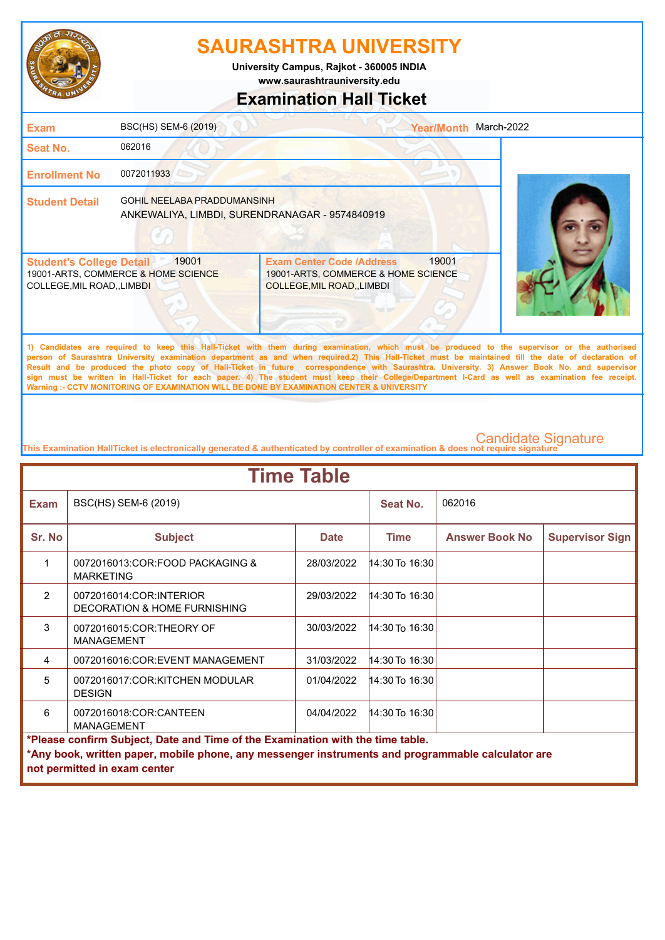

**www.saurashtrauniversity.edu University Campus, Rajkot - 360005 INDIA**

## **Examination Hall Ticket**

| <b>Exam</b>                                                    | BSC(HS) SEM-6 (2019)                                                                 |                                                                                                               | <b>Year/Month</b> | March-2022                                                                                                                                   |
|----------------------------------------------------------------|--------------------------------------------------------------------------------------|---------------------------------------------------------------------------------------------------------------|-------------------|----------------------------------------------------------------------------------------------------------------------------------------------|
| <b>Seat No.</b>                                                | 062016                                                                               |                                                                                                               |                   |                                                                                                                                              |
| <b>Enrollment No</b>                                           | 0072011933                                                                           |                                                                                                               |                   |                                                                                                                                              |
| <b>Student Detail</b>                                          | <b>GOHIL NEELABA PRADDUMANSINH</b><br>ANKEWALIYA, LIMBDI, SURENDRANAGAR - 9574840919 |                                                                                                               |                   |                                                                                                                                              |
| <b>Student's College Detail</b><br>COLLEGE, MIL ROAD, , LIMBDI | 19001<br>19001-ARTS, COMMERCE & HOME SCIENCE                                         | <b>Exam Center Code /Address</b><br>19001-ARTS, COMMERCE & HOME SCIENCE<br><b>COLLEGE, MIL ROAD, , LIMBDI</b> | 19001             |                                                                                                                                              |
|                                                                |                                                                                      |                                                                                                               |                   | 1) Candidates are required to keep this Hall-Ticket with them during examination, which must be produced to the supervisor or the authorised |

**person of Saurashtra University examination department as and when required.2) This Hall-Ticket must be maintained till the date of declaration of Result and be produced the photo copy of Hall-Ticket in future correspondence with Saurashtra. University. 3) Answer Book No. and supervisor sign must be written in Hall-Ticket for each paper. 4) The student must keep their College/Department I-Card as well as examination fee receipt. Warning :- CCTV MONITORING OF EXAMINATION WILL BE DONE BY EXAMINATION CENTER & UNIVERSITY**

| <b>Time Table</b>                                                              |                                                                                                   |             |                      |                       |                        |  |
|--------------------------------------------------------------------------------|---------------------------------------------------------------------------------------------------|-------------|----------------------|-----------------------|------------------------|--|
| <b>Exam</b>                                                                    | BSC(HS) SEM-6 (2019)                                                                              |             | Seat No.             | 062016                |                        |  |
| Sr. No                                                                         | <b>Subject</b>                                                                                    | <b>Date</b> | <b>Time</b>          | <b>Answer Book No</b> | <b>Supervisor Sign</b> |  |
| 1                                                                              | 0072016013:COR:FOOD PACKAGING &<br><b>MARKETING</b>                                               | 28/03/2022  | 14:30 To 16:30       |                       |                        |  |
| $\mathcal{P}$                                                                  | 0072016014:COR:INTERIOR<br>DECORATION & HOME FURNISHING                                           | 29/03/2022  | $ 14:30$ To $16:30 $ |                       |                        |  |
| 3                                                                              | 0072016015:COR:THEORY OF<br><b>MANAGEMENT</b>                                                     | 30/03/2022  | 14:30 To 16:30       |                       |                        |  |
| 4                                                                              | 0072016016:COR:EVENT MANAGEMENT                                                                   | 31/03/2022  | 14:30 To 16:30       |                       |                        |  |
| 5                                                                              | 0072016017:COR:KITCHEN MODULAR<br><b>DESIGN</b>                                                   | 01/04/2022  | 14:30 To 16:30       |                       |                        |  |
| 6                                                                              | 0072016018:COR:CANTEEN<br><b>MANAGEMENT</b>                                                       | 04/04/2022  | 14:30 To 16:30       |                       |                        |  |
| *Please confirm Subject, Date and Time of the Examination with the time table. |                                                                                                   |             |                      |                       |                        |  |
|                                                                                | *Any book, written paper, mobile phone, any messenger instruments and programmable calculator are |             |                      |                       |                        |  |
|                                                                                | not permitted in exam center                                                                      |             |                      |                       |                        |  |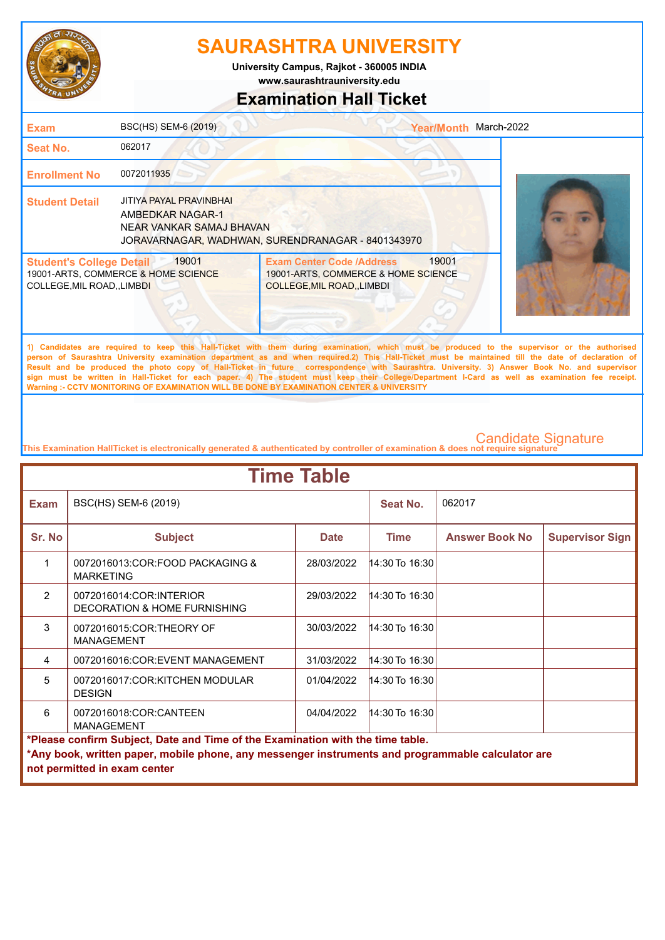

**www.saurashtrauniversity.edu University Campus, Rajkot - 360005 INDIA**

## **Examination Hall Ticket**

| <b>Exam</b>                                                    | BSC(HS) SEM-6 (2019)                                                           |                                                                                                             | Year/Month March-2022 |                                                                                                                                                                                                                                                                                                                                                                                                                                                    |
|----------------------------------------------------------------|--------------------------------------------------------------------------------|-------------------------------------------------------------------------------------------------------------|-----------------------|----------------------------------------------------------------------------------------------------------------------------------------------------------------------------------------------------------------------------------------------------------------------------------------------------------------------------------------------------------------------------------------------------------------------------------------------------|
| Seat No.                                                       | 062017                                                                         |                                                                                                             |                       |                                                                                                                                                                                                                                                                                                                                                                                                                                                    |
| <b>Enrollment No</b>                                           | 0072011935                                                                     |                                                                                                             |                       |                                                                                                                                                                                                                                                                                                                                                                                                                                                    |
| <b>Student Detail</b>                                          | JITIYA PAYAL PRAVINBHAI<br><b>AMBEDKAR NAGAR-1</b><br>NEAR VANKAR SAMAJ BHAVAN | JORAVARNAGAR, WADHWAN, SURENDRANAGAR - 8401343970                                                           |                       |                                                                                                                                                                                                                                                                                                                                                                                                                                                    |
| <b>Student's College Detail</b><br>COLLEGE, MIL ROAD, , LIMBDI | 19001<br>19001-ARTS, COMMERCE & HOME SCIENCE                                   | <b>Exam Center Code /Address</b><br>19001-ARTS, COMMERCE & HOME SCIENCE<br><b>COLLEGE, MIL ROAD, LIMBDI</b> | 19001                 |                                                                                                                                                                                                                                                                                                                                                                                                                                                    |
|                                                                |                                                                                |                                                                                                             |                       | 1) Candidates are required to keep this Hall-Ticket with them during examination, which must be produced to the supervisor or the authorised<br>person of Saurashtra University examination department as and when required.2) This Hall-Ticket must be maintained till the date of declaration of<br>Result and be produced the photo copy of Hall-Ticket in future correspondence with Saurashtra. University. 3) Answer Book No. and supervisor |

**sign must be written in Hall-Ticket for each paper. 4) The student must keep their College/Department I-Card as well as examination fee receipt. Warning :- CCTV MONITORING OF EXAMINATION WILL BE DONE BY EXAMINATION CENTER & UNIVERSITY**

| <b>Time Table</b>                                                                                                                                                                                                   |                                                         |             |                    |                       |                        |  |
|---------------------------------------------------------------------------------------------------------------------------------------------------------------------------------------------------------------------|---------------------------------------------------------|-------------|--------------------|-----------------------|------------------------|--|
| <b>Exam</b>                                                                                                                                                                                                         | BSC(HS) SEM-6 (2019)                                    |             | Seat No.           | 062017                |                        |  |
| Sr. No                                                                                                                                                                                                              | <b>Subject</b>                                          | <b>Date</b> | <b>Time</b>        | <b>Answer Book No</b> | <b>Supervisor Sign</b> |  |
| 1                                                                                                                                                                                                                   | 0072016013:COR:FOOD PACKAGING &<br><b>MARKETING</b>     | 28/03/2022  | $14:30$ To $16:30$ |                       |                        |  |
| $\mathcal{P}$                                                                                                                                                                                                       | 0072016014:COR:INTERIOR<br>DECORATION & HOME FURNISHING | 29/03/2022  | $14:30$ To 16:30   |                       |                        |  |
| 3                                                                                                                                                                                                                   | 0072016015:COR:THEORY OF<br><b>MANAGEMENT</b>           | 30/03/2022  | $14:30$ To $16:30$ |                       |                        |  |
| 4                                                                                                                                                                                                                   | 0072016016:COR:EVENT MANAGEMENT                         | 31/03/2022  | $14:30$ To $16:30$ |                       |                        |  |
| $\overline{5}$                                                                                                                                                                                                      | 0072016017:COR:KITCHEN MODULAR<br><b>DESIGN</b>         | 01/04/2022  | $14:30$ To 16:30   |                       |                        |  |
| 6                                                                                                                                                                                                                   | 0072016018:COR:CANTEEN<br><b>MANAGEMENT</b>             | 04/04/2022  | 14:30 To 16:30     |                       |                        |  |
| *Please confirm Subject, Date and Time of the Examination with the time table.<br>*Any book, written paper, mobile phone, any messenger instruments and programmable calculator are<br>not permitted in exam center |                                                         |             |                    |                       |                        |  |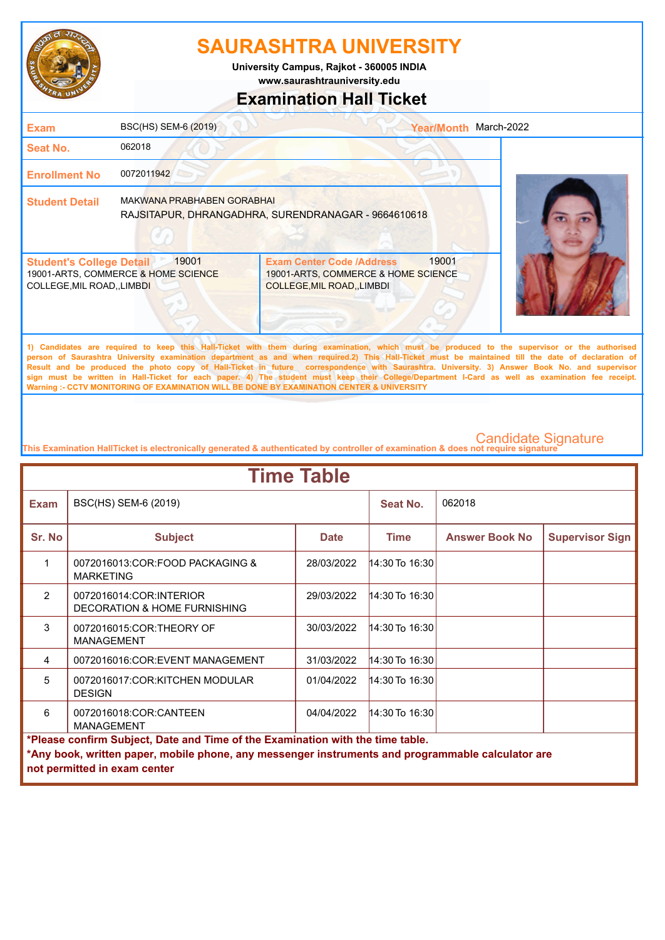

**www.saurashtrauniversity.edu University Campus, Rajkot - 360005 INDIA**

# **Examination Hall Ticket**

| <b>Exam</b>                                                    | BSC(HS) SEM-6 (2019)                         | <b>Year/Month</b>                                                                                                                                                                                                                                                                                  | March-2022 |
|----------------------------------------------------------------|----------------------------------------------|----------------------------------------------------------------------------------------------------------------------------------------------------------------------------------------------------------------------------------------------------------------------------------------------------|------------|
| <b>Seat No.</b>                                                | 062018                                       |                                                                                                                                                                                                                                                                                                    |            |
| <b>Enrollment No</b>                                           | 0072011942                                   |                                                                                                                                                                                                                                                                                                    |            |
| <b>Student Detail</b>                                          | <b>MAKWANA PRABHABEN GORABHAI</b>            | RAJSITAPUR, DHRANGADHRA, SURENDRANAGAR - 9664610618                                                                                                                                                                                                                                                |            |
| <b>Student's College Detail</b><br>COLLEGE, MIL ROAD, , LIMBDI | 19001<br>19001-ARTS, COMMERCE & HOME SCIENCE | 19001<br><b>Exam Center Code /Address</b><br>19001-ARTS, COMMERCE & HOME SCIENCE<br><b>COLLEGE, MIL ROAD, LIMBDI</b>                                                                                                                                                                               |            |
|                                                                |                                              | 1) Candidates are required to keep this Hall-Ticket with them during examination, which must be produced to the supervisor or the authorised<br>person of Saurashtra University examination department as and when required.2) This Hall-Ticket must be maintained till the date of declaration of |            |

**Result and be produced the photo copy of Hall-Ticket in future correspondence with Saurashtra. University. 3) Answer Book No. and supervisor sign must be written in Hall-Ticket for each paper. 4) The student must keep their College/Department I-Card as well as examination fee receipt. Warning :- CCTV MONITORING OF EXAMINATION WILL BE DONE BY EXAMINATION CENTER & UNIVERSITY**

| <b>Time Table</b>                                                              |                                                                                                   |             |                  |                       |                        |  |
|--------------------------------------------------------------------------------|---------------------------------------------------------------------------------------------------|-------------|------------------|-----------------------|------------------------|--|
| <b>Exam</b>                                                                    | BSC(HS) SEM-6 (2019)                                                                              |             | Seat No.         | 062018                |                        |  |
| Sr. No                                                                         | <b>Subject</b>                                                                                    | <b>Date</b> | <b>Time</b>      | <b>Answer Book No</b> | <b>Supervisor Sign</b> |  |
| 1                                                                              | 0072016013:COR:FOOD PACKAGING &<br><b>MARKETING</b>                                               | 28/03/2022  | 14:30 To 16:30   |                       |                        |  |
| $\mathfrak{p}$                                                                 | 0072016014:COR:INTERIOR<br>DECORATION & HOME FURNISHING                                           | 29/03/2022  | 14:30 To 16:30   |                       |                        |  |
| 3                                                                              | 0072016015:COR:THEORY OF<br><b>MANAGEMENT</b>                                                     | 30/03/2022  | $14:30$ To 16:30 |                       |                        |  |
| 4                                                                              | 0072016016:COR:EVENT MANAGEMENT                                                                   | 31/03/2022  | 14:30 To 16:30   |                       |                        |  |
| 5                                                                              | 0072016017:COR:KITCHEN MODULAR<br><b>DESIGN</b>                                                   | 01/04/2022  | 14:30 To 16:30   |                       |                        |  |
| 6                                                                              | 0072016018:COR:CANTEEN<br><b>MANAGEMENT</b>                                                       | 04/04/2022  | 14:30 To 16:30   |                       |                        |  |
| *Please confirm Subject, Date and Time of the Examination with the time table. |                                                                                                   |             |                  |                       |                        |  |
|                                                                                | *Any book, written paper, mobile phone, any messenger instruments and programmable calculator are |             |                  |                       |                        |  |
|                                                                                | not permitted in exam center                                                                      |             |                  |                       |                        |  |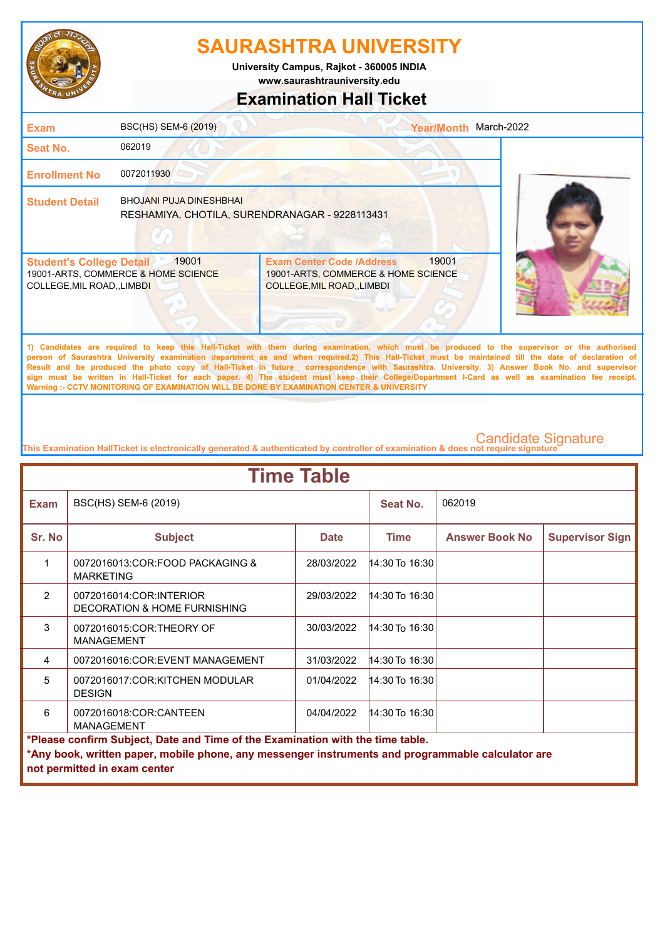

**University Campus, Rajkot - 360005 INDIA**

**www.saurashtrauniversity.edu**

## **Examination Hall Ticket**

| <b>Exam</b>                                                    | BSC(HS) SEM-6 (2019)                                                             |                                                                                                             | <b>Year/Month</b> | March-2022 |
|----------------------------------------------------------------|----------------------------------------------------------------------------------|-------------------------------------------------------------------------------------------------------------|-------------------|------------|
| <b>Seat No.</b>                                                | 062019                                                                           |                                                                                                             |                   |            |
| <b>Enrollment No</b>                                           | 0072011930                                                                       |                                                                                                             |                   |            |
| <b>Student Detail</b>                                          | <b>BHOJANI PUJA DINESHBHAI</b><br>RESHAMIYA, CHOTILA, SURENDRANAGAR - 9228113431 |                                                                                                             |                   |            |
| <b>Student's College Detail</b><br>COLLEGE, MIL ROAD, , LIMBDI | 19001<br>19001-ARTS, COMMERCE & HOME SCIENCE                                     | <b>Exam Center Code /Address</b><br>19001-ARTS, COMMERCE & HOME SCIENCE<br><b>COLLEGE, MIL ROAD, LIMBDI</b> | 19001             |            |
|                                                                |                                                                                  |                                                                                                             |                   |            |

**1) Candidates are required to keep this Hall-Ticket with them during examination, which must be produced to the supervisor or the authorised person of Saurashtra University examination department as and when required.2) This Hall-Ticket must be maintained till the date of declaration of Result and be produced the photo copy of Hall-Ticket in future correspondence with Saurashtra. University. 3) Answer Book No. and supervisor sign must be written in Hall-Ticket for each paper. 4) The student must keep their College/Department I-Card as well as examination fee receipt. Warning :- CCTV MONITORING OF EXAMINATION WILL BE DONE BY EXAMINATION CENTER & UNIVERSITY**

| <b>Time Table</b>                                                                                                                                                                                                   |                                                                    |             |                      |                       |                        |  |
|---------------------------------------------------------------------------------------------------------------------------------------------------------------------------------------------------------------------|--------------------------------------------------------------------|-------------|----------------------|-----------------------|------------------------|--|
| <b>Exam</b>                                                                                                                                                                                                         | BSC(HS) SEM-6 (2019)                                               |             | Seat No.             | 062019                |                        |  |
| Sr. No                                                                                                                                                                                                              | <b>Subject</b>                                                     | <b>Date</b> | Time                 | <b>Answer Book No</b> | <b>Supervisor Sign</b> |  |
| 1                                                                                                                                                                                                                   | 0072016013:COR:FOOD PACKAGING &<br><b>MARKETING</b>                | 28/03/2022  | 14:30 To 16:30       |                       |                        |  |
| $\mathcal{P}$                                                                                                                                                                                                       | 0072016014:COR:INTERIOR<br><b>DECORATION &amp; HOME FURNISHING</b> | 29/03/2022  | $14:30$ To $16:30$   |                       |                        |  |
| 3                                                                                                                                                                                                                   | 0072016015:COR:THEORY OF<br><b>MANAGEMENT</b>                      | 30/03/2022  | $14:30$ To $16:30$   |                       |                        |  |
| 4                                                                                                                                                                                                                   | 0072016016:COR:EVENT MANAGEMENT                                    | 31/03/2022  | $ 14:30$ To $16:30 $ |                       |                        |  |
| 5                                                                                                                                                                                                                   | 0072016017:COR:KITCHEN MODULAR<br><b>DESIGN</b>                    | 01/04/2022  | $14:30$ To $16:30$   |                       |                        |  |
| 6                                                                                                                                                                                                                   | 0072016018:COR:CANTEEN<br><b>MANAGEMENT</b>                        | 04/04/2022  | $14:30$ To $16:30$   |                       |                        |  |
| *Please confirm Subject, Date and Time of the Examination with the time table.<br>*Any book, written paper, mobile phone, any messenger instruments and programmable calculator are<br>not permitted in exam center |                                                                    |             |                      |                       |                        |  |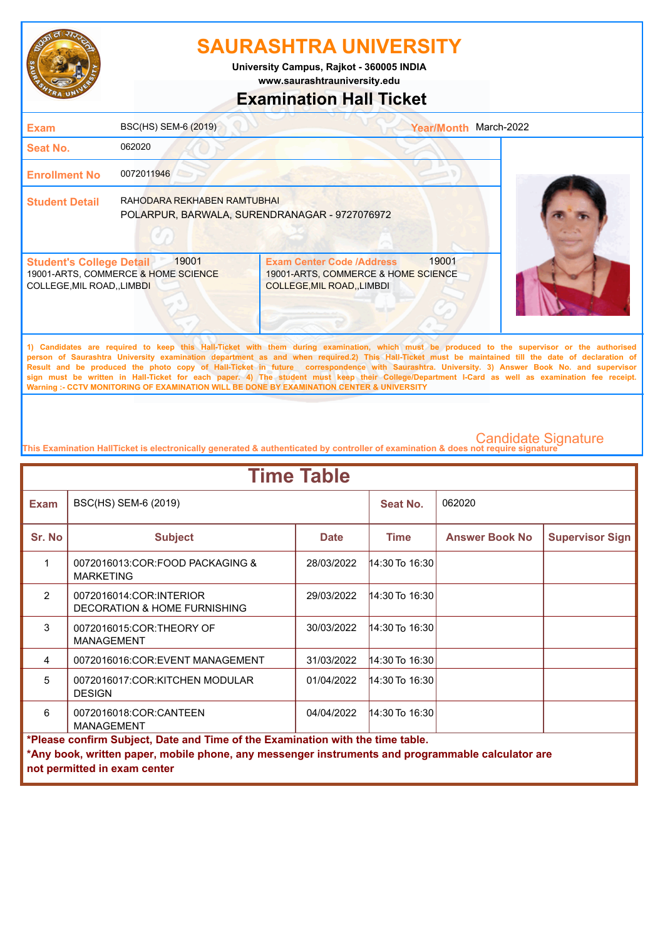

**University Campus, Rajkot - 360005 INDIA**

**www.saurashtrauniversity.edu**

### **Examination Hall Ticket**

| <b>Exam</b>                                                    | BSC(HS) SEM-6 (2019)                                                         |                                                                                                        | <b>Year/Month</b> | March-2022                                                                                                                                   |
|----------------------------------------------------------------|------------------------------------------------------------------------------|--------------------------------------------------------------------------------------------------------|-------------------|----------------------------------------------------------------------------------------------------------------------------------------------|
| <b>Seat No.</b>                                                | 062020                                                                       |                                                                                                        |                   |                                                                                                                                              |
| <b>Enrollment No</b>                                           | 0072011946                                                                   |                                                                                                        |                   |                                                                                                                                              |
| <b>Student Detail</b>                                          | RAHODARA REKHABEN RAMTUBHAI<br>POLARPUR, BARWALA, SURENDRANAGAR - 9727076972 |                                                                                                        |                   |                                                                                                                                              |
| <b>Student's College Detail</b><br>COLLEGE, MIL ROAD, , LIMBDI | 19001<br>19001-ARTS, COMMERCE & HOME SCIENCE                                 | <b>Exam Center Code /Address</b><br>19001-ARTS, COMMERCE & HOME SCIENCE<br>COLLEGE, MIL ROAD, , LIMBDI | 19001             |                                                                                                                                              |
|                                                                |                                                                              |                                                                                                        |                   | 1) Candidates are required to keep this Hall-Ticket with them during examination, which must be produced to the supervisor or the authorised |

**person of Saurashtra University examination department as and when required.2) This Hall-Ticket must be maintained till the date of declaration of Result and be produced the photo copy of Hall-Ticket in future correspondence with Saurashtra. University. 3) Answer Book No. and supervisor sign must be written in Hall-Ticket for each paper. 4) The student must keep their College/Department I-Card as well as examination fee receipt. Warning :- CCTV MONITORING OF EXAMINATION WILL BE DONE BY EXAMINATION CENTER & UNIVERSITY**

| <b>Time Table</b>                                                              |                                                                                                   |             |                  |                       |                        |  |  |
|--------------------------------------------------------------------------------|---------------------------------------------------------------------------------------------------|-------------|------------------|-----------------------|------------------------|--|--|
| <b>Exam</b>                                                                    | BSC(HS) SEM-6 (2019)                                                                              |             | Seat No.         | 062020                |                        |  |  |
| Sr. No                                                                         | <b>Subject</b>                                                                                    | <b>Date</b> | <b>Time</b>      | <b>Answer Book No</b> | <b>Supervisor Sign</b> |  |  |
| 1                                                                              | 0072016013:COR:FOOD PACKAGING &<br><b>MARKETING</b>                                               | 28/03/2022  | 14:30 To 16:30   |                       |                        |  |  |
| $\mathcal{P}$                                                                  | 0072016014:COR:INTERIOR<br>DECORATION & HOME FURNISHING                                           | 29/03/2022  | 14:30 To 16:30   |                       |                        |  |  |
| 3                                                                              | 0072016015:COR:THEORY OF<br><b>MANAGEMENT</b>                                                     | 30/03/2022  | $14:30$ To 16:30 |                       |                        |  |  |
| 4                                                                              | 0072016016:COR:EVENT MANAGEMENT                                                                   | 31/03/2022  | 14:30 To 16:30   |                       |                        |  |  |
| 5                                                                              | 0072016017:COR:KITCHEN MODULAR<br><b>DESIGN</b>                                                   | 01/04/2022  | $14:30$ To 16:30 |                       |                        |  |  |
| 6                                                                              | 0072016018:COR:CANTEEN<br><b>MANAGEMENT</b>                                                       | 04/04/2022  | 14:30 To 16:30   |                       |                        |  |  |
| *Please confirm Subject, Date and Time of the Examination with the time table. |                                                                                                   |             |                  |                       |                        |  |  |
|                                                                                | *Any book, written paper, mobile phone, any messenger instruments and programmable calculator are |             |                  |                       |                        |  |  |
|                                                                                | not permitted in exam center                                                                      |             |                  |                       |                        |  |  |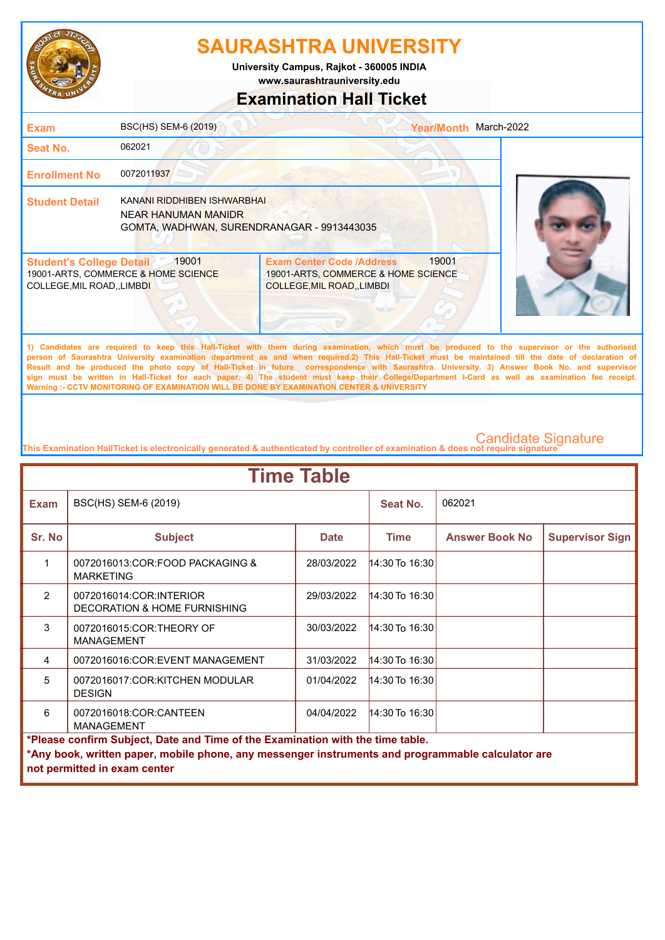

**University Campus, Rajkot - 360005 INDIA**

**www.saurashtrauniversity.edu**

## **Examination Hall Ticket**

| <b>Exam</b>                                                    | BSC(HS) SEM-6 (2019)                                                                             |                                                                                                             | <b>Year/Month</b> | March-2022                                                                                                                                   |
|----------------------------------------------------------------|--------------------------------------------------------------------------------------------------|-------------------------------------------------------------------------------------------------------------|-------------------|----------------------------------------------------------------------------------------------------------------------------------------------|
| <b>Seat No.</b>                                                | 062021                                                                                           |                                                                                                             |                   |                                                                                                                                              |
| <b>Enrollment No</b>                                           | 0072011937                                                                                       |                                                                                                             |                   |                                                                                                                                              |
| <b>Student Detail</b>                                          | KANANI RIDDHIBEN ISHWARBHAI<br>NEAR HANUMAN MANIDR<br>GOMTA, WADHWAN, SURENDRANAGAR - 9913443035 |                                                                                                             |                   |                                                                                                                                              |
| <b>Student's College Detail</b><br>COLLEGE, MIL ROAD, , LIMBDI | 19001<br>19001-ARTS, COMMERCE & HOME SCIENCE                                                     | <b>Exam Center Code /Address</b><br>19001-ARTS, COMMERCE & HOME SCIENCE<br><b>COLLEGE, MIL ROAD, LIMBDI</b> | 19001             |                                                                                                                                              |
|                                                                |                                                                                                  |                                                                                                             |                   | 1) Candidates are required to keep this Hall-Ticket with them during examination, which must be produced to the supervisor or the authorised |

**person of Saurashtra University examination department as and when required.2) This Hall-Ticket must be maintained till the date of declaration of Result and be produced the photo copy of Hall-Ticket in future correspondence with Saurashtra. University. 3) Answer Book No. and supervisor sign must be written in Hall-Ticket for each paper. 4) The student must keep their College/Department I-Card as well as examination fee receipt. Warning :- CCTV MONITORING OF EXAMINATION WILL BE DONE BY EXAMINATION CENTER & UNIVERSITY**

| <b>Time Table</b>                                                              |                                                                                                                                   |             |                    |                       |                        |  |
|--------------------------------------------------------------------------------|-----------------------------------------------------------------------------------------------------------------------------------|-------------|--------------------|-----------------------|------------------------|--|
| <b>Exam</b>                                                                    | BSC(HS) SEM-6 (2019)                                                                                                              |             | Seat No.           | 062021                |                        |  |
| Sr. No                                                                         | <b>Subject</b>                                                                                                                    | <b>Date</b> | <b>Time</b>        | <b>Answer Book No</b> | <b>Supervisor Sign</b> |  |
| 1                                                                              | 0072016013:COR:FOOD PACKAGING &<br><b>MARKETING</b>                                                                               | 28/03/2022  | $14:30$ To 16:30   |                       |                        |  |
| $\mathcal{P}$                                                                  | 0072016014:COR:INTERIOR<br>DECORATION & HOME FURNISHING                                                                           | 29/03/2022  | $14:30$ To $16:30$ |                       |                        |  |
| 3                                                                              | 0072016015:COR:THEORY OF<br><b>MANAGEMENT</b>                                                                                     | 30/03/2022  | 14:30 To 16:30     |                       |                        |  |
| 4                                                                              | 0072016016:COR:EVENT MANAGEMENT                                                                                                   | 31/03/2022  | 14:30 To 16:30     |                       |                        |  |
| 5                                                                              | 0072016017:COR:KITCHEN MODULAR<br><b>DESIGN</b>                                                                                   | 01/04/2022  | 14:30 To 16:30     |                       |                        |  |
| 6                                                                              | 0072016018:COR:CANTEEN<br><b>MANAGEMENT</b>                                                                                       | 04/04/2022  | 14:30 To 16:30     |                       |                        |  |
| *Please confirm Subject, Date and Time of the Examination with the time table. |                                                                                                                                   |             |                    |                       |                        |  |
|                                                                                | *Any book, written paper, mobile phone, any messenger instruments and programmable calculator are<br>not permitted in exam center |             |                    |                       |                        |  |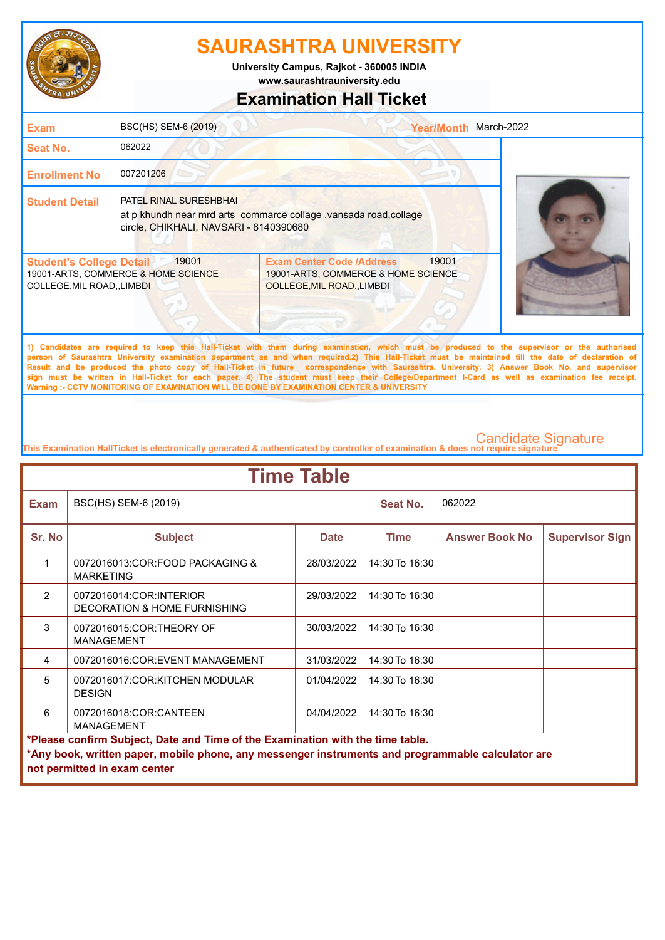

**University Campus, Rajkot - 360005 INDIA**

**www.saurashtrauniversity.edu**

## **Examination Hall Ticket**

| <b>Exam</b>                                                          | BSC(HS) SEM-6 (2019)                                                    |                                                                                                                                             | <b>Year/Month</b> | March-2022 |
|----------------------------------------------------------------------|-------------------------------------------------------------------------|---------------------------------------------------------------------------------------------------------------------------------------------|-------------------|------------|
| <b>Seat No.</b>                                                      | 062022                                                                  |                                                                                                                                             |                   |            |
| <b>Enrollment No</b>                                                 | 007201206                                                               |                                                                                                                                             |                   |            |
| <b>Student Detail</b>                                                | <b>PATEL RINAL SURESHBHAI</b><br>circle, CHIKHALI, NAVSARI - 8140390680 | at p khundh near mrd arts commarce collage, vansada road, collage                                                                           |                   |            |
| <b>Student's College Detail</b><br><b>COLLEGE, MIL ROAD,, LIMBDI</b> | 19001<br>19001-ARTS, COMMERCE & HOME SCIENCE                            | <b>Exam Center Code /Address</b><br>19001-ARTS, COMMERCE & HOME SCIENCE<br><b>COLLEGE, MIL ROAD, LIMBDI</b>                                 | 19001             |            |
|                                                                      |                                                                         | 1) Candidates are required to keep this Hall-Ticket with them during examination which must be produced to the supervisor or the authorised |                   |            |

**1) Candidates are required to keep this Hall-Ticket with them during examination, which must be produced to the supervisor or the authorised person of Saurashtra University examination department as and when required.2) This Hall-Ticket must be maintained till the date of declaration of Result and be produced the photo copy of Hall-Ticket in future correspondence with Saurashtra. University. 3) Answer Book No. and supervisor sign must be written in Hall-Ticket for each paper. 4) The student must keep their College/Department I-Card as well as examination fee receipt. Warning :- CCTV MONITORING OF EXAMINATION WILL BE DONE BY EXAMINATION CENTER & UNIVERSITY**

| <b>Time Table</b>                                                              |                                                                                                   |             |                |                       |                              |  |  |  |  |  |  |
|--------------------------------------------------------------------------------|---------------------------------------------------------------------------------------------------|-------------|----------------|-----------------------|------------------------------|--|--|--|--|--|--|
| <b>Exam</b>                                                                    | BSC(HS) SEM-6 (2019)                                                                              |             | Seat No.       | 062022                |                              |  |  |  |  |  |  |
| Sr. No                                                                         | <b>Subject</b>                                                                                    | <b>Date</b> | <b>Time</b>    | <b>Answer Book No</b> | <b>Supervisor Sign</b>       |  |  |  |  |  |  |
| 1                                                                              | 0072016013:COR:FOOD PACKAGING &<br><b>MARKETING</b>                                               | 28/03/2022  | 14:30 To 16:30 |                       |                              |  |  |  |  |  |  |
| $\mathcal{P}$                                                                  | 0072016014:COR:INTERIOR<br>DECORATION & HOME FURNISHING                                           | 29/03/2022  | 14:30 To 16:30 |                       |                              |  |  |  |  |  |  |
| 3                                                                              | 0072016015:COR:THEORY OF<br><b>MANAGEMENT</b>                                                     | 30/03/2022  | 14:30 To 16:30 |                       |                              |  |  |  |  |  |  |
| 4                                                                              | 0072016016:COR:EVENT MANAGEMENT                                                                   | 31/03/2022  | 14:30 To 16:30 |                       |                              |  |  |  |  |  |  |
| 5                                                                              | 0072016017:COR:KITCHEN MODULAR<br><b>DESIGN</b>                                                   | 01/04/2022  | 14:30 To 16:30 |                       |                              |  |  |  |  |  |  |
| 6                                                                              | 0072016018:COR:CANTEEN<br><b>MANAGEMENT</b>                                                       | 04/04/2022  | 14:30 To 16:30 |                       |                              |  |  |  |  |  |  |
| *Please confirm Subject, Date and Time of the Examination with the time table. |                                                                                                   |             |                |                       |                              |  |  |  |  |  |  |
|                                                                                | *Any book, written paper, mobile phone, any messenger instruments and programmable calculator are |             |                |                       |                              |  |  |  |  |  |  |
|                                                                                |                                                                                                   |             |                |                       | not permitted in exam center |  |  |  |  |  |  |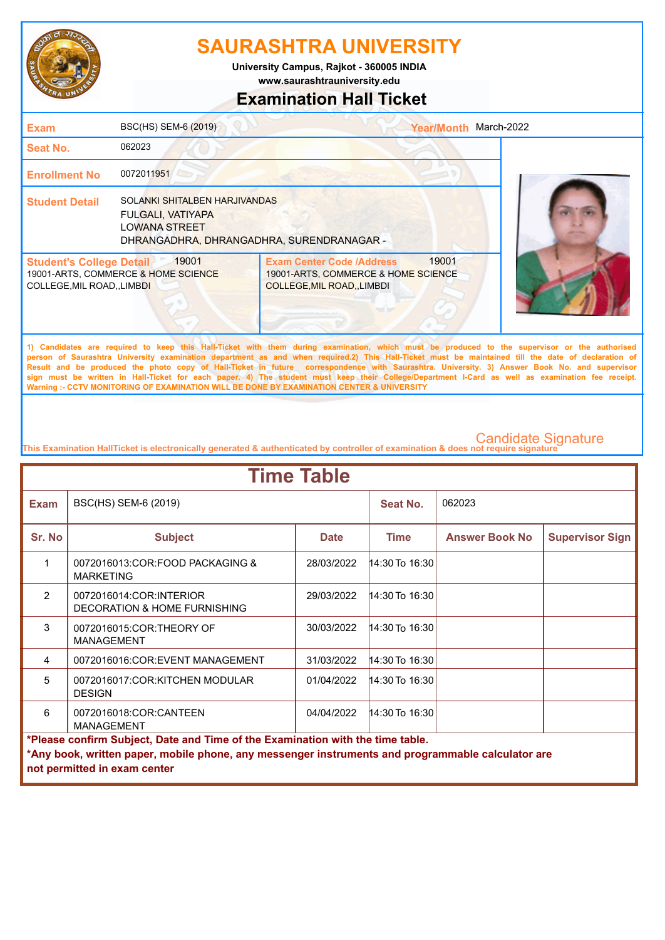

**www.saurashtrauniversity.edu University Campus, Rajkot - 360005 INDIA**

## **Examination Hall Ticket**

| <b>Exam</b>                                                    | BSC(HS) SEM-6 (2019)                                                                                                    |                                                                                                             | Year/Month March-2022 |                                                                                                                                                                                                                                                                                                                                                                                                                                                    |
|----------------------------------------------------------------|-------------------------------------------------------------------------------------------------------------------------|-------------------------------------------------------------------------------------------------------------|-----------------------|----------------------------------------------------------------------------------------------------------------------------------------------------------------------------------------------------------------------------------------------------------------------------------------------------------------------------------------------------------------------------------------------------------------------------------------------------|
| <b>Seat No.</b>                                                | 062023                                                                                                                  |                                                                                                             |                       |                                                                                                                                                                                                                                                                                                                                                                                                                                                    |
| <b>Enrollment No</b>                                           | 0072011951                                                                                                              |                                                                                                             |                       |                                                                                                                                                                                                                                                                                                                                                                                                                                                    |
| <b>Student Detail</b>                                          | SOLANKI SHITALBEN HARJIVANDAS<br>FULGALI, VATIYAPA<br><b>LOWANA STREET</b><br>DHRANGADHRA, DHRANGADHRA, SURENDRANAGAR - |                                                                                                             |                       |                                                                                                                                                                                                                                                                                                                                                                                                                                                    |
| <b>Student's College Detail</b><br>COLLEGE, MIL ROAD, , LIMBDI | 19001<br>19001-ARTS, COMMERCE & HOME SCIENCE                                                                            | <b>Exam Center Code /Address</b><br>19001-ARTS, COMMERCE & HOME SCIENCE<br><b>COLLEGE, MIL ROAD, LIMBDI</b> | 19001                 |                                                                                                                                                                                                                                                                                                                                                                                                                                                    |
|                                                                |                                                                                                                         |                                                                                                             |                       | 1) Candidates are required to keep this Hall-Ticket with them during examination, which must be produced to the supervisor or the authorised<br>person of Saurashtra University examination department as and when required.2) This Hall-Ticket must be maintained till the date of declaration of<br>Result and be produced the photo copy of Hall-Ticket in future correspondence with Saurashtra. University. 3) Answer Book No. and supervisor |

**sign must be written in Hall-Ticket for each paper. 4) The student must keep their College/Department I-Card as well as examination fee receipt. Warning :- CCTV MONITORING OF EXAMINATION WILL BE DONE BY EXAMINATION CENTER & UNIVERSITY**

| <b>Time Table</b>                                                                                                                                                                                                   |                                                                                   |             |                      |                       |                        |  |
|---------------------------------------------------------------------------------------------------------------------------------------------------------------------------------------------------------------------|-----------------------------------------------------------------------------------|-------------|----------------------|-----------------------|------------------------|--|
| <b>Exam</b>                                                                                                                                                                                                         | BSC(HS) SEM-6 (2019)                                                              |             | Seat No.             | 062023                |                        |  |
| Sr. No                                                                                                                                                                                                              | <b>Subject</b>                                                                    | <b>Date</b> | <b>Time</b>          | <b>Answer Book No</b> | <b>Supervisor Sign</b> |  |
| 1                                                                                                                                                                                                                   | 0072016013:COR:FOOD PACKAGING &<br><b>MARKETING</b>                               | 28/03/2022  | $14:30$ To 16:30     |                       |                        |  |
| $\mathcal{P}$                                                                                                                                                                                                       | 0072016014:COR:INTERIOR<br><b>DECORATION &amp; HOME FURNISHING</b>                | 29/03/2022  | 14:30 To 16:30       |                       |                        |  |
| 3                                                                                                                                                                                                                   | 0072016015:COR:THEORY OF<br><b>MANAGEMENT</b>                                     | 30/03/2022  | $14:30$ To $16:30$   |                       |                        |  |
| 4                                                                                                                                                                                                                   | 0072016016:COR:EVENT MANAGEMENT                                                   | 31/03/2022  | $ 14:30$ To $16:30 $ |                       |                        |  |
| 5                                                                                                                                                                                                                   | 0072016017:COR:KITCHEN MODULAR<br><b>DESIGN</b>                                   | 01/04/2022  | $14:30$ To $16:30$   |                       |                        |  |
| 6                                                                                                                                                                                                                   | 0072016018:COR:CANTEEN<br>$ 14:30$ To $16:30 $<br>04/04/2022<br><b>MANAGEMENT</b> |             |                      |                       |                        |  |
| *Please confirm Subject, Date and Time of the Examination with the time table.<br>*Any book, written paper, mobile phone, any messenger instruments and programmable calculator are<br>not permitted in exam center |                                                                                   |             |                      |                       |                        |  |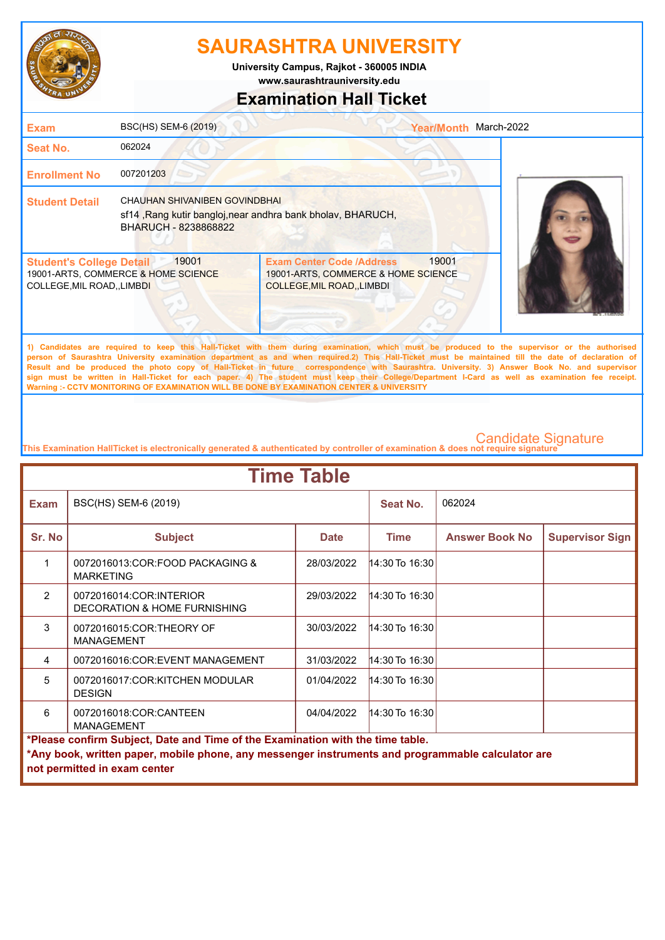

**University Campus, Rajkot - 360005 INDIA**

**www.saurashtrauniversity.edu**

## **Examination Hall Ticket**

| <b>Exam</b>                                                                                                                                   | BSC(HS) SEM-6 (2019)                         |                                                                                                      | <b>Year/Month</b> | March-2022 |
|-----------------------------------------------------------------------------------------------------------------------------------------------|----------------------------------------------|------------------------------------------------------------------------------------------------------|-------------------|------------|
| <b>Seat No.</b>                                                                                                                               | 062024                                       |                                                                                                      |                   |            |
| <b>Enrollment No</b>                                                                                                                          | 007201203                                    |                                                                                                      |                   |            |
| CHAUHAN SHIVANIBEN GOVINDBHAI<br><b>Student Detail</b><br>sf14, Rang kutir bangloj, near andhra bank bholav, BHARUCH,<br>BHARUCH - 8238868822 |                                              |                                                                                                      |                   |            |
| <b>Student's College Detail</b><br>COLLEGE, MIL ROAD, , LIMBDI                                                                                | 19001<br>19001-ARTS, COMMERCE & HOME SCIENCE | <b>Exam Center Code /Address</b><br>19001-ARTS, COMMERCE & HOME SCIENCE<br>COLLEGE, MIL ROAD, LIMBDI | 19001             |            |

**1) Candidates are required to keep this Hall-Ticket with them during examination, which must be produced to the supervisor or the authorised person of Saurashtra University examination department as and when required.2) This Hall-Ticket must be maintained till the date of declaration of Result and be produced the photo copy of Hall-Ticket in future correspondence with Saurashtra. University. 3) Answer Book No. and supervisor sign must be written in Hall-Ticket for each paper. 4) The student must keep their College/Department I-Card as well as examination fee receipt. Warning :- CCTV MONITORING OF EXAMINATION WILL BE DONE BY EXAMINATION CENTER & UNIVERSITY**

| <b>Time Table</b>                                                              |                                                                                                                                   |             |                       |                       |                        |  |
|--------------------------------------------------------------------------------|-----------------------------------------------------------------------------------------------------------------------------------|-------------|-----------------------|-----------------------|------------------------|--|
| <b>Exam</b>                                                                    | BSC(HS) SEM-6 (2019)                                                                                                              |             | Seat No.              | 062024                |                        |  |
| Sr. No                                                                         | <b>Subject</b>                                                                                                                    | <b>Date</b> | <b>Time</b>           | <b>Answer Book No</b> | <b>Supervisor Sign</b> |  |
| 1                                                                              | 0072016013:COR:FOOD PACKAGING &<br><b>MARKETING</b>                                                                               | 28/03/2022  | 14:30 To 16:30        |                       |                        |  |
| $\mathcal{P}$                                                                  | 0072016014:COR:INTERIOR<br><b>DECORATION &amp; HOME FURNISHING</b>                                                                | 29/03/2022  | 14:30 To 16:30        |                       |                        |  |
| 3                                                                              | 0072016015:COR:THEORY OF<br><b>MANAGEMENT</b>                                                                                     | 30/03/2022  | 14:30 To 16:30        |                       |                        |  |
| 4                                                                              | 0072016016:COR:EVENT MANAGEMENT                                                                                                   | 31/03/2022  | $ 14:30$ To $ 16:30 $ |                       |                        |  |
| 5                                                                              | 0072016017:COR:KITCHEN MODULAR<br><b>DESIGN</b>                                                                                   | 01/04/2022  | 14:30 To 16:30        |                       |                        |  |
| 6                                                                              | 0072016018:COR:CANTEEN<br><b>MANAGEMENT</b>                                                                                       | 04/04/2022  | 14:30 To 16:30        |                       |                        |  |
| *Please confirm Subject, Date and Time of the Examination with the time table. |                                                                                                                                   |             |                       |                       |                        |  |
|                                                                                | *Any book, written paper, mobile phone, any messenger instruments and programmable calculator are<br>not permitted in exam center |             |                       |                       |                        |  |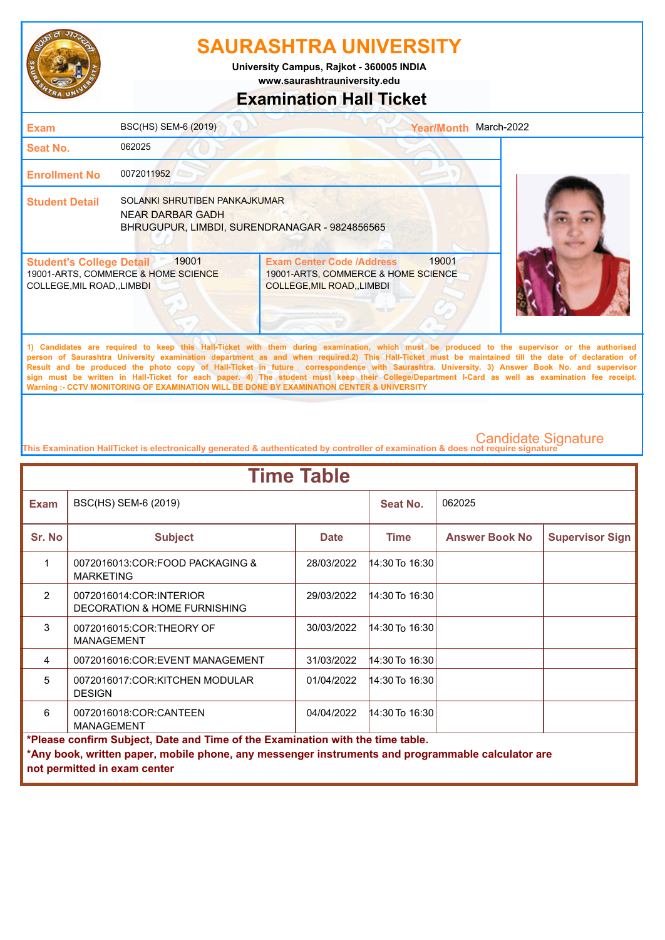

**www.saurashtrauniversity.edu University Campus, Rajkot - 360005 INDIA**

# **Examination Hall Ticket**

| <b>Exam</b>                                                                                                                                                                                                                                                                                                                                                                                                                                                                                                                                                                                                                                                                                         | BSC(HS) SEM-6 (2019)                         |                                                                                                        | Year/Month March-2022 |  |  |  |
|-----------------------------------------------------------------------------------------------------------------------------------------------------------------------------------------------------------------------------------------------------------------------------------------------------------------------------------------------------------------------------------------------------------------------------------------------------------------------------------------------------------------------------------------------------------------------------------------------------------------------------------------------------------------------------------------------------|----------------------------------------------|--------------------------------------------------------------------------------------------------------|-----------------------|--|--|--|
| Seat No.                                                                                                                                                                                                                                                                                                                                                                                                                                                                                                                                                                                                                                                                                            | 062025                                       |                                                                                                        |                       |  |  |  |
| <b>Enrollment No</b>                                                                                                                                                                                                                                                                                                                                                                                                                                                                                                                                                                                                                                                                                | 0072011952                                   |                                                                                                        |                       |  |  |  |
| SOLANKI SHRUTIBEN PANKAJKUMAR<br><b>Student Detail</b><br><b>NEAR DARBAR GADH</b><br>BHRUGUPUR, LIMBDI, SURENDRANAGAR - 9824856565                                                                                                                                                                                                                                                                                                                                                                                                                                                                                                                                                                  |                                              |                                                                                                        |                       |  |  |  |
| <b>Student's College Detail</b><br>COLLEGE, MIL ROAD, , LIMBDI                                                                                                                                                                                                                                                                                                                                                                                                                                                                                                                                                                                                                                      | 19001<br>19001-ARTS, COMMERCE & HOME SCIENCE | <b>Exam Center Code /Address</b><br>19001-ARTS, COMMERCE & HOME SCIENCE<br>COLLEGE, MIL ROAD, , LIMBDI | 19001                 |  |  |  |
| 1) Candidates are required to keep this Hall-Ticket with them during examination, which must be produced to the supervisor or the authorised<br>person of Saurashtra University examination department as and when required.2) This Hall-Ticket must be maintained till the date of declaration of<br>Result and be produced the photo copy of Hall-Ticket in future correspondence with Saurashtra. University. 3) Answer Book No. and supervisor<br>sign must be written in Hall-Ticket for each paper. 4) The student must keep their College/Department I-Card as well as examination fee receipt.<br>Warning :- CCTV MONITORING OF EXAMINATION WILL BE DONE BY EXAMINATION CENTER & UNIVERSITY |                                              |                                                                                                        |                       |  |  |  |

| <b>Time Table</b> |                                                                                                                                                                                     |             |                    |                       |                        |  |  |  |
|-------------------|-------------------------------------------------------------------------------------------------------------------------------------------------------------------------------------|-------------|--------------------|-----------------------|------------------------|--|--|--|
| <b>Exam</b>       | BSC(HS) SEM-6 (2019)                                                                                                                                                                |             | Seat No.           | 062025                |                        |  |  |  |
| Sr. No            | <b>Subject</b>                                                                                                                                                                      | <b>Date</b> | <b>Time</b>        | <b>Answer Book No</b> | <b>Supervisor Sign</b> |  |  |  |
| 1                 | 0072016013:COR:FOOD PACKAGING &<br><b>MARKETING</b>                                                                                                                                 | 28/03/2022  | $14:30$ To $16:30$ |                       |                        |  |  |  |
| $\mathcal{P}$     | 0072016014:COR:INTERIOR<br><b>DECORATION &amp; HOME FURNISHING</b>                                                                                                                  | 29/03/2022  | 14:30 To 16:30     |                       |                        |  |  |  |
| 3                 | 0072016015:COR:THEORY OF<br><b>MANAGEMENT</b>                                                                                                                                       | 30/03/2022  | 14:30 To 16:30     |                       |                        |  |  |  |
| 4                 | 0072016016:COR:EVENT MANAGEMENT                                                                                                                                                     | 31/03/2022  | $14:30$ To 16:30   |                       |                        |  |  |  |
| 5                 | 0072016017:COR:KITCHEN MODULAR<br><b>DESIGN</b>                                                                                                                                     | 01/04/2022  | $14:30$ To 16:30   |                       |                        |  |  |  |
| 6                 | 0072016018:COR:CANTEEN<br>04/04/2022<br>14:30 To 16:30<br><b>MANAGEMENT</b>                                                                                                         |             |                    |                       |                        |  |  |  |
|                   | *Please confirm Subject, Date and Time of the Examination with the time table.<br>*Any book, written paper, mobile phone, any messenger instruments and programmable calculator are |             |                    |                       |                        |  |  |  |
|                   | not permitted in exam center                                                                                                                                                        |             |                    |                       |                        |  |  |  |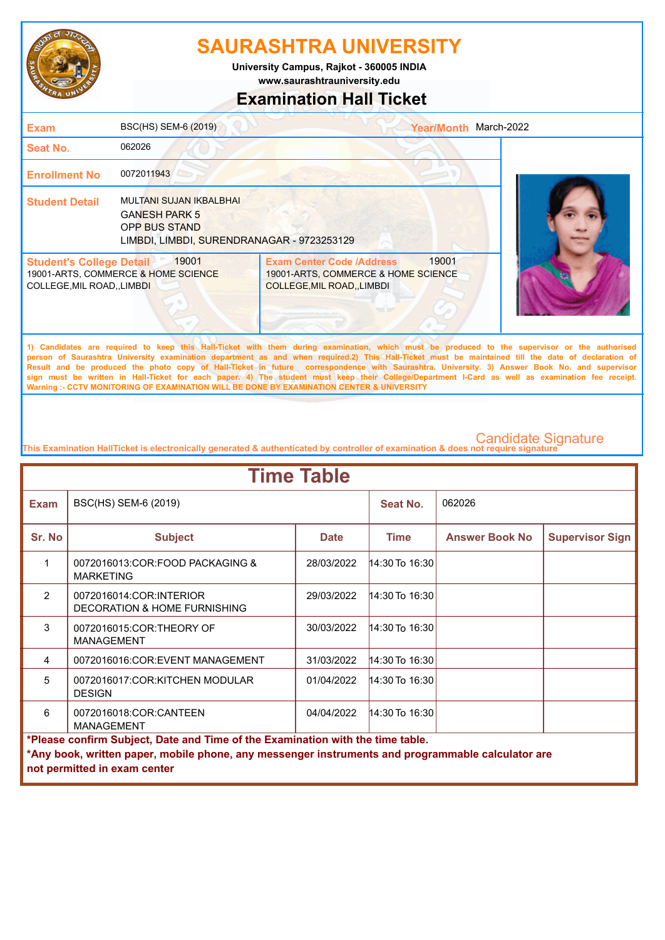

**www.saurashtrauniversity.edu University Campus, Rajkot - 360005 INDIA**

## **Examination Hall Ticket**

| <b>Exam</b>                                                    | BSC(HS) SEM-6 (2019)                                                                                                  |                                                                                                      | Year/Month March-2022 |                                                                                                                                                                                                                                                                                                     |
|----------------------------------------------------------------|-----------------------------------------------------------------------------------------------------------------------|------------------------------------------------------------------------------------------------------|-----------------------|-----------------------------------------------------------------------------------------------------------------------------------------------------------------------------------------------------------------------------------------------------------------------------------------------------|
| Seat No.                                                       | 062026                                                                                                                |                                                                                                      |                       |                                                                                                                                                                                                                                                                                                     |
| <b>Enrollment No</b>                                           | 0072011943                                                                                                            |                                                                                                      |                       |                                                                                                                                                                                                                                                                                                     |
| <b>Student Detail</b>                                          | MULTANI SUJAN IKBALBHAI<br><b>GANESH PARK 5</b><br><b>OPP BUS STAND</b><br>LIMBDI, LIMBDI, SURENDRANAGAR - 9723253129 |                                                                                                      |                       |                                                                                                                                                                                                                                                                                                     |
| <b>Student's College Detail</b><br>COLLEGE, MIL ROAD, , LIMBDI | 19001<br>19001-ARTS, COMMERCE & HOME SCIENCE                                                                          | <b>Exam Center Code /Address</b><br>19001-ARTS, COMMERCE & HOME SCIENCE<br>COLLEGE, MIL ROAD, LIMBDI | 19001                 |                                                                                                                                                                                                                                                                                                     |
|                                                                |                                                                                                                       |                                                                                                      |                       | 1) Candidates are required to keep this Hall-Ticket with them during examination, which must be produced to the supervisor or the authorised<br>norson of Saurashtra University examination department as and when required 2). This Hall Ticket must be maintained till the date of declaration of |

**person of Saurashtra University examination department as and when required.2) This Hall-Ticket must be maintained till the date of declaration of Result and be produced the photo copy of Hall-Ticket in future correspondence with Saurashtra. University. 3) Answer Book No. and supervisor sign must be written in Hall-Ticket for each paper. 4) The student must keep their College/Department I-Card as well as examination fee receipt. Warning :- CCTV MONITORING OF EXAMINATION WILL BE DONE BY EXAMINATION CENTER & UNIVERSITY**

| <b>Time Table</b> |                                                                                                                                                                                                                     |             |                       |                       |                        |  |  |  |
|-------------------|---------------------------------------------------------------------------------------------------------------------------------------------------------------------------------------------------------------------|-------------|-----------------------|-----------------------|------------------------|--|--|--|
| <b>Exam</b>       | BSC(HS) SEM-6 (2019)                                                                                                                                                                                                |             | Seat No.              | 062026                |                        |  |  |  |
| Sr. No            | <b>Subject</b>                                                                                                                                                                                                      | <b>Date</b> | <b>Time</b>           | <b>Answer Book No</b> | <b>Supervisor Sign</b> |  |  |  |
| 1                 | 0072016013:COR:FOOD PACKAGING &<br><b>MARKETING</b>                                                                                                                                                                 | 28/03/2022  | $14:30$ To $16:30$    |                       |                        |  |  |  |
| $\mathcal{P}$     | 0072016014:COR:INTERIOR<br><b>DECORATION &amp; HOME FURNISHING</b>                                                                                                                                                  | 29/03/2022  | $14:30$ To $16:30$    |                       |                        |  |  |  |
| 3                 | 0072016015:COR:THEORY OF<br><b>MANAGEMENT</b>                                                                                                                                                                       | 30/03/2022  | 14:30 To 16:30        |                       |                        |  |  |  |
| 4                 | 0072016016:COR:EVENT MANAGEMENT                                                                                                                                                                                     | 31/03/2022  | $ 14:30$ To $ 16:30 $ |                       |                        |  |  |  |
| 5                 | 0072016017:COR:KITCHEN MODULAR<br><b>DESIGN</b>                                                                                                                                                                     | 01/04/2022  | 14:30 To 16:30        |                       |                        |  |  |  |
| 6                 | 14:30 To 16:30<br>0072016018:COR:CANTEEN<br>04/04/2022<br><b>MANAGEMENT</b>                                                                                                                                         |             |                       |                       |                        |  |  |  |
|                   | *Please confirm Subject, Date and Time of the Examination with the time table.<br>*Any book, written paper, mobile phone, any messenger instruments and programmable calculator are<br>not permitted in exam center |             |                       |                       |                        |  |  |  |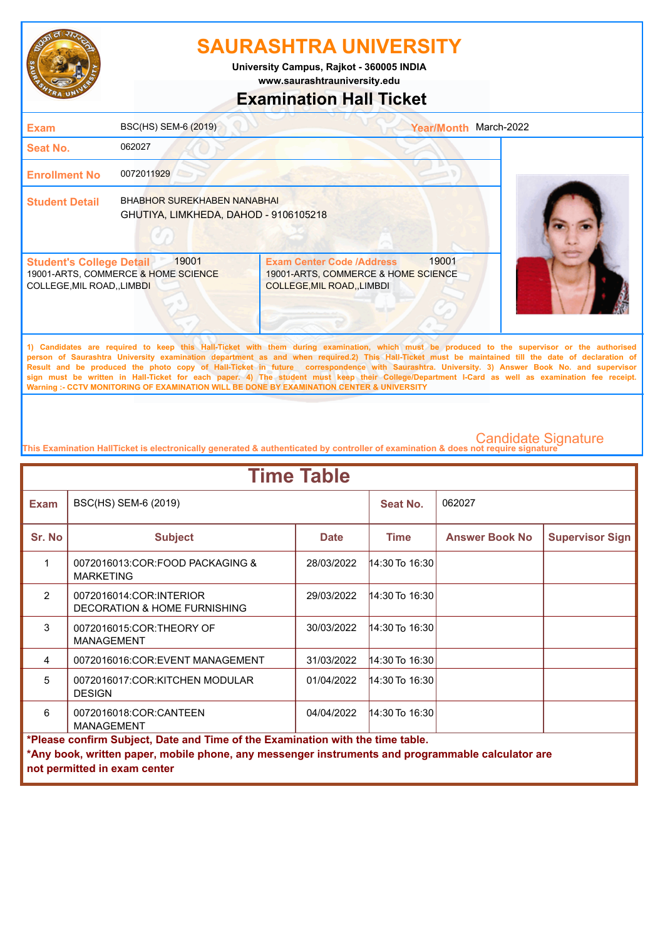

**University Campus, Rajkot - 360005 INDIA**

**www.saurashtrauniversity.edu**

## **Examination Hall Ticket**

| <b>Exam</b>                                                    | BSC(HS) SEM-6 (2019)                                                        |                                                                                                      | <b>Year/Month</b> | March-2022                                                                                                                                   |
|----------------------------------------------------------------|-----------------------------------------------------------------------------|------------------------------------------------------------------------------------------------------|-------------------|----------------------------------------------------------------------------------------------------------------------------------------------|
| Seat No.                                                       | 062027                                                                      |                                                                                                      |                   |                                                                                                                                              |
| <b>Enrollment No</b>                                           | 0072011929                                                                  |                                                                                                      |                   |                                                                                                                                              |
| <b>Student Detail</b>                                          | <b>BHABHOR SUREKHABEN NANABHAI</b><br>GHUTIYA, LIMKHEDA, DAHOD - 9106105218 |                                                                                                      |                   |                                                                                                                                              |
| <b>Student's College Detail</b><br>COLLEGE, MIL ROAD, , LIMBDI | 19001<br>19001-ARTS, COMMERCE & HOME SCIENCE                                | <b>Exam Center Code /Address</b><br>19001-ARTS, COMMERCE & HOME SCIENCE<br>COLLEGE, MIL ROAD, LIMBDI | 19001             |                                                                                                                                              |
|                                                                |                                                                             |                                                                                                      |                   | 1) Candidates are required to keep this Hall-Ticket with them during examination, which must be produced to the supervisor or the authorised |

**person of Saurashtra University examination department as and when required.2) This Hall-Ticket must be maintained till the date of declaration of Result and be produced the photo copy of Hall-Ticket in future correspondence with Saurashtra. University. 3) Answer Book No. and supervisor sign must be written in Hall-Ticket for each paper. 4) The student must keep their College/Department I-Card as well as examination fee receipt. Warning :- CCTV MONITORING OF EXAMINATION WILL BE DONE BY EXAMINATION CENTER & UNIVERSITY**

| <b>Time Table</b>                                                              |                                                                                                   |             |                    |                       |                        |  |  |  |
|--------------------------------------------------------------------------------|---------------------------------------------------------------------------------------------------|-------------|--------------------|-----------------------|------------------------|--|--|--|
| <b>Exam</b>                                                                    | BSC(HS) SEM-6 (2019)                                                                              |             | Seat No.           | 062027                |                        |  |  |  |
| Sr. No                                                                         | <b>Subject</b>                                                                                    | <b>Date</b> | <b>Time</b>        | <b>Answer Book No</b> | <b>Supervisor Sign</b> |  |  |  |
| 1                                                                              | 0072016013:COR:FOOD PACKAGING &<br><b>MARKETING</b>                                               | 28/03/2022  | $14:30$ To 16:30   |                       |                        |  |  |  |
| $\mathcal{P}$                                                                  | 0072016014:COR:INTERIOR<br>DECORATION & HOME FURNISHING                                           | 29/03/2022  | $14:30$ To $16:30$ |                       |                        |  |  |  |
| 3                                                                              | 0072016015:COR:THEORY OF<br><b>MANAGEMENT</b>                                                     | 30/03/2022  | 14:30 To 16:30     |                       |                        |  |  |  |
| 4                                                                              | 0072016016:COR:EVENT MANAGEMENT                                                                   | 31/03/2022  | 14:30 To 16:30     |                       |                        |  |  |  |
| 5                                                                              | 0072016017:COR:KITCHEN MODULAR<br><b>DESIGN</b>                                                   | 01/04/2022  | 14:30 To 16:30     |                       |                        |  |  |  |
| 6                                                                              | 0072016018:COR:CANTEEN<br>04/04/2022<br>14:30 To 16:30<br><b>MANAGEMENT</b>                       |             |                    |                       |                        |  |  |  |
| *Please confirm Subject, Date and Time of the Examination with the time table. |                                                                                                   |             |                    |                       |                        |  |  |  |
|                                                                                | *Any book, written paper, mobile phone, any messenger instruments and programmable calculator are |             |                    |                       |                        |  |  |  |
|                                                                                | not permitted in exam center                                                                      |             |                    |                       |                        |  |  |  |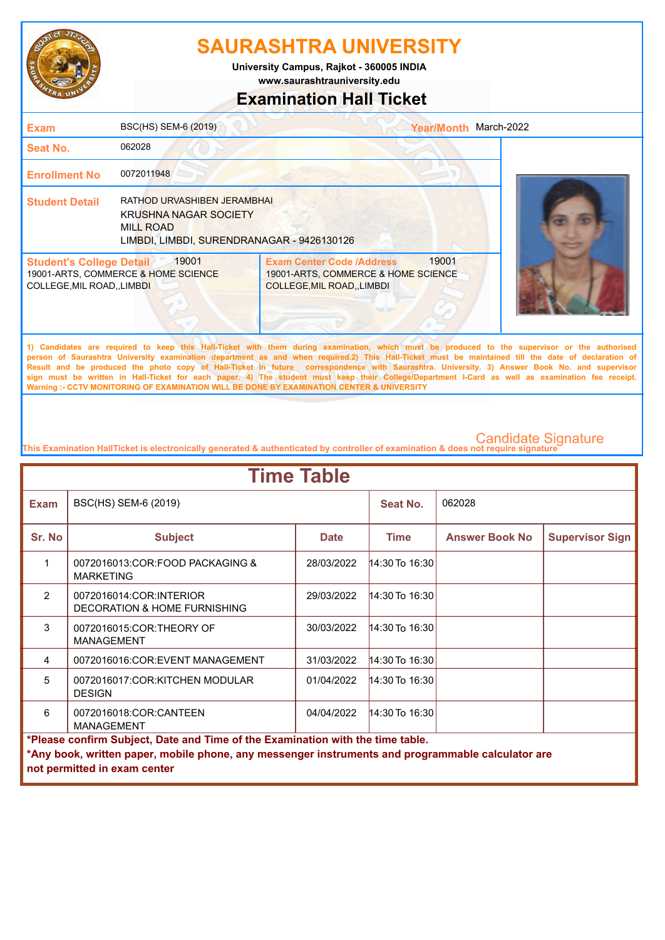

**University Campus, Rajkot - 360005 INDIA**

**www.saurashtrauniversity.edu**

## **Examination Hall Ticket**

| <b>Exam</b>                                                    | BSC(HS) SEM-6 (2019)                                                                                                          |                                                                                                             | Year/Month March-2022 |                                                                                                                                                                                                                                                                                                    |
|----------------------------------------------------------------|-------------------------------------------------------------------------------------------------------------------------------|-------------------------------------------------------------------------------------------------------------|-----------------------|----------------------------------------------------------------------------------------------------------------------------------------------------------------------------------------------------------------------------------------------------------------------------------------------------|
| <b>Seat No.</b>                                                | 062028                                                                                                                        |                                                                                                             |                       |                                                                                                                                                                                                                                                                                                    |
| <b>Enrollment No</b>                                           | 0072011948                                                                                                                    |                                                                                                             |                       |                                                                                                                                                                                                                                                                                                    |
| <b>Student Detail</b>                                          | RATHOD URVASHIBEN JERAMBHAI<br><b>KRUSHNA NAGAR SOCIETY</b><br><b>MILL ROAD</b><br>LIMBDI, LIMBDI, SURENDRANAGAR - 9426130126 |                                                                                                             |                       |                                                                                                                                                                                                                                                                                                    |
| <b>Student's College Detail</b><br>COLLEGE, MIL ROAD, , LIMBDI | 19001<br>19001-ARTS, COMMERCE & HOME SCIENCE                                                                                  | <b>Exam Center Code /Address</b><br>19001-ARTS, COMMERCE & HOME SCIENCE<br><b>COLLEGE, MIL ROAD, LIMBDI</b> | 19001                 |                                                                                                                                                                                                                                                                                                    |
|                                                                |                                                                                                                               |                                                                                                             |                       | 1) Candidates are required to keep this Hall-Ticket with them during examination, which must be produced to the supervisor or the authorised<br>person of Saurashtra University examination department as and when required.2) This Hall-Ticket must be maintained till the date of declaration of |

**Result and be produced the photo copy of Hall-Ticket in future correspondence with Saurashtra. University. 3) Answer Book No. and supervisor sign must be written in Hall-Ticket for each paper. 4) The student must keep their College/Department I-Card as well as examination fee receipt. Warning :- CCTV MONITORING OF EXAMINATION WILL BE DONE BY EXAMINATION CENTER & UNIVERSITY**

| <b>Time Table</b>                                                              |                                                                                                                                   |             |                  |                       |                        |  |  |  |
|--------------------------------------------------------------------------------|-----------------------------------------------------------------------------------------------------------------------------------|-------------|------------------|-----------------------|------------------------|--|--|--|
| <b>Exam</b>                                                                    | BSC(HS) SEM-6 (2019)                                                                                                              |             | Seat No.         | 062028                |                        |  |  |  |
| Sr. No                                                                         | <b>Subject</b>                                                                                                                    | <b>Date</b> | <b>Time</b>      | <b>Answer Book No</b> | <b>Supervisor Sign</b> |  |  |  |
| 1                                                                              | 0072016013:COR:FOOD PACKAGING &<br><b>MARKETING</b>                                                                               | 28/03/2022  | 14:30 To 16:30   |                       |                        |  |  |  |
| $\mathcal{P}$                                                                  | 0072016014:COR:INTERIOR<br>DECORATION & HOME FURNISHING                                                                           | 29/03/2022  | 14:30 To 16:30   |                       |                        |  |  |  |
| 3                                                                              | 0072016015:COR:THEORY OF<br><b>MANAGEMENT</b>                                                                                     | 30/03/2022  | 14:30 To 16:30   |                       |                        |  |  |  |
| 4                                                                              | 0072016016:COR:EVENT MANAGEMENT                                                                                                   | 31/03/2022  | 14:30 To 16:30   |                       |                        |  |  |  |
| 5                                                                              | 0072016017:COR:KITCHEN MODULAR<br><b>DESIGN</b>                                                                                   | 01/04/2022  | $14:30$ To 16:30 |                       |                        |  |  |  |
| 6                                                                              | $14:30$ To $16:30$<br>0072016018:COR:CANTEEN<br>04/04/2022<br><b>MANAGEMENT</b>                                                   |             |                  |                       |                        |  |  |  |
| *Please confirm Subject, Date and Time of the Examination with the time table. |                                                                                                                                   |             |                  |                       |                        |  |  |  |
|                                                                                | *Any book, written paper, mobile phone, any messenger instruments and programmable calculator are<br>not permitted in exam center |             |                  |                       |                        |  |  |  |
|                                                                                |                                                                                                                                   |             |                  |                       |                        |  |  |  |